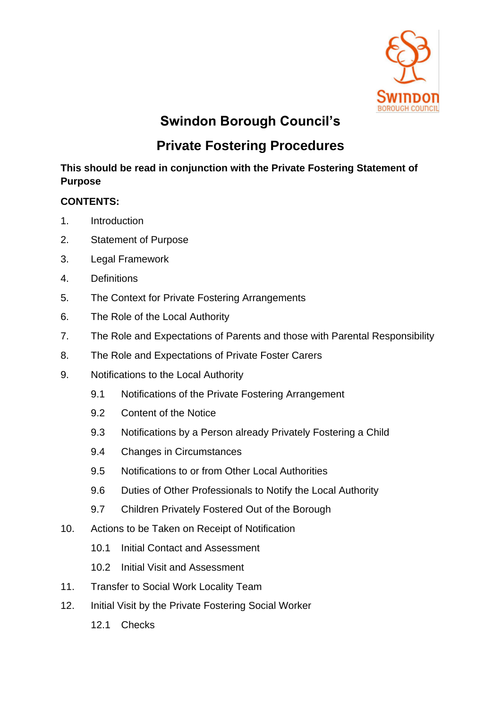

# **Swindon Borough Council's**

# **Private Fostering Procedures**

# **This should be read in conjunction with the Private Fostering Statement of Purpose**

# **CONTENTS:**

- 1. Introduction
- 2. Statement of Purpose
- 3. Legal Framework
- 4. Definitions
- 5. The Context for Private Fostering Arrangements
- 6. The Role of the Local Authority
- 7. The Role and Expectations of Parents and those with Parental Responsibility
- 8. The Role and Expectations of Private Foster Carers
- 9. Notifications to the Local Authority
	- 9.1 Notifications of the Private Fostering Arrangement
	- 9.2 Content of the Notice
	- 9.3 Notifications by a Person already Privately Fostering a Child
	- 9.4 Changes in Circumstances
	- 9.5 Notifications to or from Other Local Authorities
	- 9.6 Duties of Other Professionals to Notify the Local Authority
	- 9.7 Children Privately Fostered Out of the Borough
- 10. Actions to be Taken on Receipt of Notification
	- 10.1 Initial Contact and Assessment
	- 10.2 Initial Visit and Assessment
- 11. Transfer to Social Work Locality Team
- 12. Initial Visit by the Private Fostering Social Worker
	- 12.1 Checks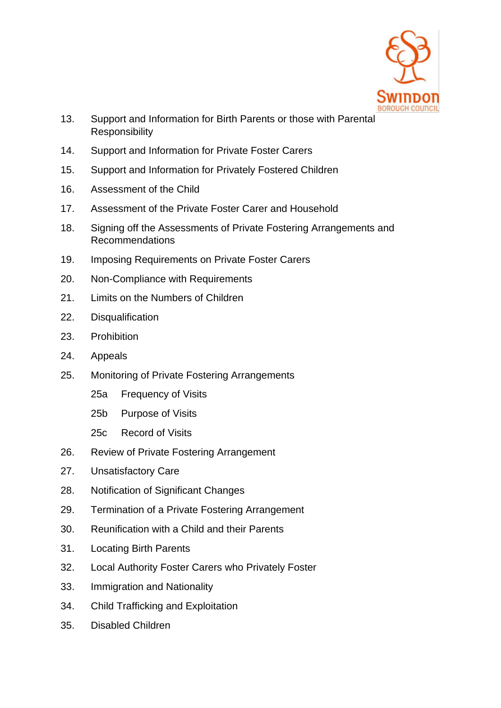

- 13. Support and Information for Birth Parents or those with Parental Responsibility
- 14. Support and Information for Private Foster Carers
- 15. Support and Information for Privately Fostered Children
- 16. Assessment of the Child
- 17. Assessment of the Private Foster Carer and Household
- 18. Signing off the Assessments of Private Fostering Arrangements and Recommendations
- 19. Imposing Requirements on Private Foster Carers
- 20. Non-Compliance with Requirements
- 21. Limits on the Numbers of Children
- 22. Disqualification
- 23. Prohibition
- 24. Appeals
- 25. Monitoring of Private Fostering Arrangements
	- 25a Frequency of Visits
	- 25b Purpose of Visits
	- 25c Record of Visits
- 26. Review of Private Fostering Arrangement
- 27. Unsatisfactory Care
- 28. Notification of Significant Changes
- 29. Termination of a Private Fostering Arrangement
- 30. Reunification with a Child and their Parents
- 31. Locating Birth Parents
- 32. Local Authority Foster Carers who Privately Foster
- 33. Immigration and Nationality
- 34. Child Trafficking and Exploitation
- 35. Disabled Children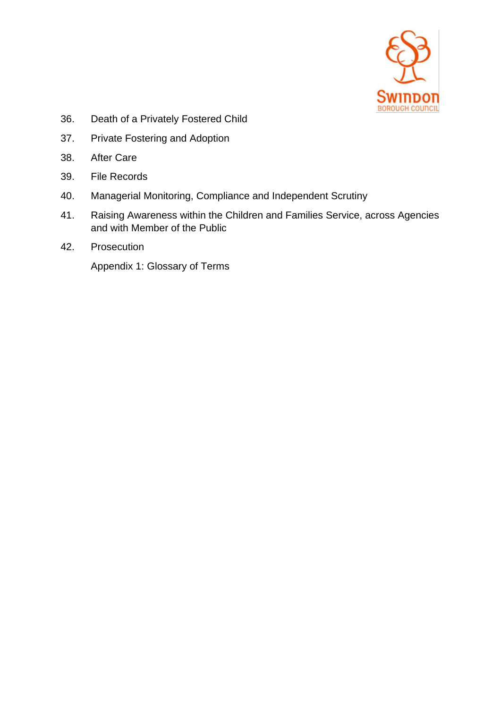

- 36. Death of a Privately Fostered Child
- 37. Private Fostering and Adoption
- 38. After Care
- 39. File Records
- 40. Managerial Monitoring, Compliance and Independent Scrutiny
- 41. Raising Awareness within the Children and Families Service, across Agencies and with Member of the Public
- 42. Prosecution

Appendix 1: Glossary of Terms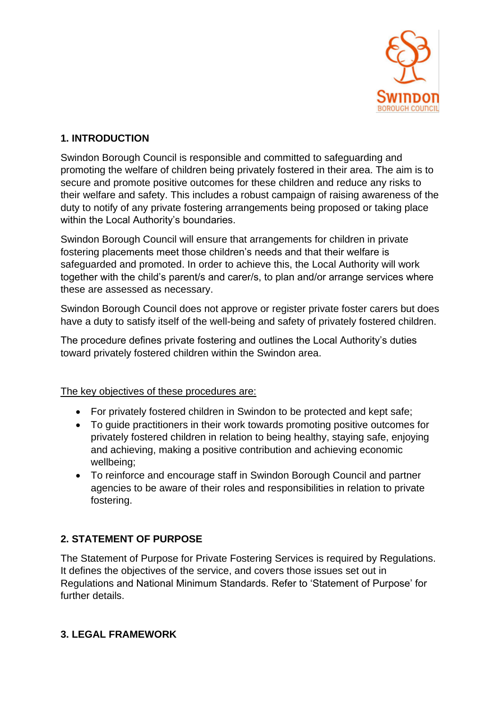

# **1. INTRODUCTION**

Swindon Borough Council is responsible and committed to safeguarding and promoting the welfare of children being privately fostered in their area. The aim is to secure and promote positive outcomes for these children and reduce any risks to their welfare and safety. This includes a robust campaign of raising awareness of the duty to notify of any private fostering arrangements being proposed or taking place within the Local Authority's boundaries.

Swindon Borough Council will ensure that arrangements for children in private fostering placements meet those children's needs and that their welfare is safeguarded and promoted. In order to achieve this, the Local Authority will work together with the child's parent/s and carer/s, to plan and/or arrange services where these are assessed as necessary.

Swindon Borough Council does not approve or register private foster carers but does have a duty to satisfy itself of the well-being and safety of privately fostered children.

The procedure defines private fostering and outlines the Local Authority's duties toward privately fostered children within the Swindon area.

#### The key objectives of these procedures are:

- For privately fostered children in Swindon to be protected and kept safe;
- To guide practitioners in their work towards promoting positive outcomes for privately fostered children in relation to being healthy, staying safe, enjoying and achieving, making a positive contribution and achieving economic wellbeing;
- To reinforce and encourage staff in Swindon Borough Council and partner agencies to be aware of their roles and responsibilities in relation to private fostering.

#### **2. STATEMENT OF PURPOSE**

The Statement of Purpose for Private Fostering Services is required by Regulations. It defines the objectives of the service, and covers those issues set out in Regulations and National Minimum Standards. Refer to 'Statement of Purpose' for further details.

#### **3. LEGAL FRAMEWORK**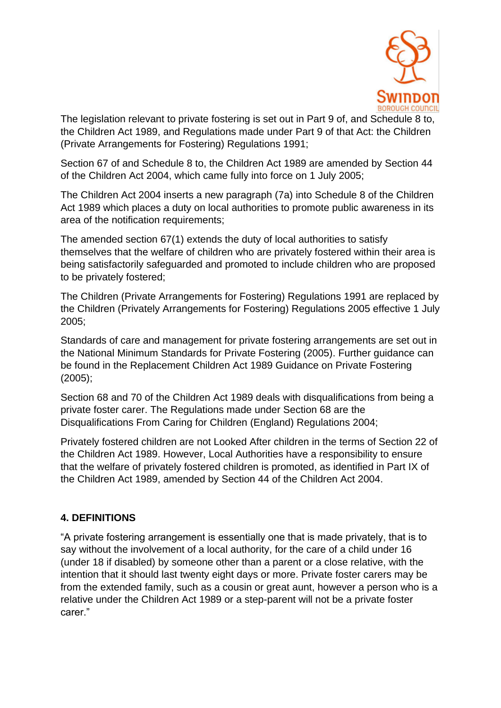

The legislation relevant to private fostering is set out in Part 9 of, and Schedule 8 to, the Children Act 1989, and Regulations made under Part 9 of that Act: the Children (Private Arrangements for Fostering) Regulations 1991;

Section 67 of and Schedule 8 to, the Children Act 1989 are amended by Section 44 of the Children Act 2004, which came fully into force on 1 July 2005;

The Children Act 2004 inserts a new paragraph (7a) into Schedule 8 of the Children Act 1989 which places a duty on local authorities to promote public awareness in its area of the notification requirements;

The amended section 67(1) extends the duty of local authorities to satisfy themselves that the welfare of children who are privately fostered within their area is being satisfactorily safeguarded and promoted to include children who are proposed to be privately fostered;

The Children (Private Arrangements for Fostering) Regulations 1991 are replaced by the Children (Privately Arrangements for Fostering) Regulations 2005 effective 1 July 2005;

Standards of care and management for private fostering arrangements are set out in the National Minimum Standards for Private Fostering (2005). Further guidance can be found in the Replacement Children Act 1989 Guidance on Private Fostering (2005);

Section 68 and 70 of the Children Act 1989 deals with disqualifications from being a private foster carer. The Regulations made under Section 68 are the Disqualifications From Caring for Children (England) Regulations 2004;

Privately fostered children are not Looked After children in the terms of Section 22 of the Children Act 1989. However, Local Authorities have a responsibility to ensure that the welfare of privately fostered children is promoted, as identified in Part IX of the Children Act 1989, amended by Section 44 of the Children Act 2004.

#### **4. DEFINITIONS**

"A private fostering arrangement is essentially one that is made privately, that is to say without the involvement of a local authority, for the care of a child under 16 (under 18 if disabled) by someone other than a parent or a close relative, with the intention that it should last twenty eight days or more. Private foster carers may be from the extended family, such as a cousin or great aunt, however a person who is a relative under the Children Act 1989 or a step-parent will not be a private foster carer."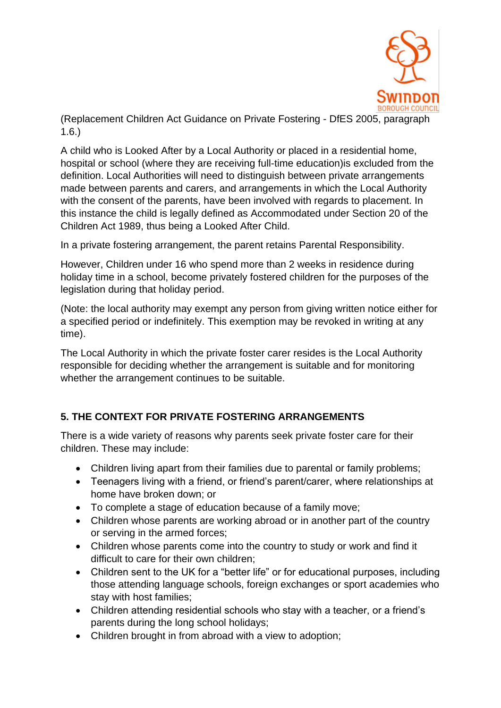

(Replacement Children Act Guidance on Private Fostering - DfES 2005, paragraph 1.6.)

A child who is Looked After by a Local Authority or placed in a residential home, hospital or school (where they are receiving full-time education)is excluded from the definition. Local Authorities will need to distinguish between private arrangements made between parents and carers, and arrangements in which the Local Authority with the consent of the parents, have been involved with regards to placement. In this instance the child is legally defined as Accommodated under Section 20 of the Children Act 1989, thus being a Looked After Child.

In a private fostering arrangement, the parent retains Parental Responsibility.

However, Children under 16 who spend more than 2 weeks in residence during holiday time in a school, become privately fostered children for the purposes of the legislation during that holiday period.

(Note: the local authority may exempt any person from giving written notice either for a specified period or indefinitely. This exemption may be revoked in writing at any time).

The Local Authority in which the private foster carer resides is the Local Authority responsible for deciding whether the arrangement is suitable and for monitoring whether the arrangement continues to be suitable.

# **5. THE CONTEXT FOR PRIVATE FOSTERING ARRANGEMENTS**

There is a wide variety of reasons why parents seek private foster care for their children. These may include:

- Children living apart from their families due to parental or family problems;
- Teenagers living with a friend, or friend's parent/carer, where relationships at home have broken down; or
- To complete a stage of education because of a family move;
- Children whose parents are working abroad or in another part of the country or serving in the armed forces;
- Children whose parents come into the country to study or work and find it difficult to care for their own children;
- Children sent to the UK for a "better life" or for educational purposes, including those attending language schools, foreign exchanges or sport academies who stay with host families;
- Children attending residential schools who stay with a teacher, or a friend's parents during the long school holidays;
- Children brought in from abroad with a view to adoption;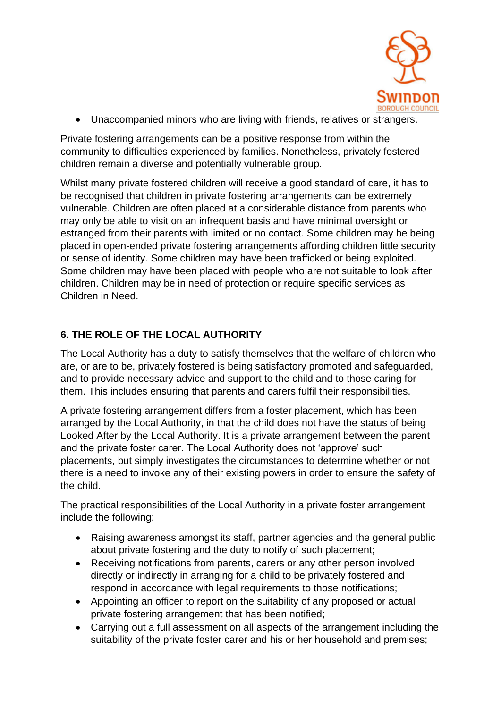

• Unaccompanied minors who are living with friends, relatives or strangers.

Private fostering arrangements can be a positive response from within the community to difficulties experienced by families. Nonetheless, privately fostered children remain a diverse and potentially vulnerable group.

Whilst many private fostered children will receive a good standard of care, it has to be recognised that children in private fostering arrangements can be extremely vulnerable. Children are often placed at a considerable distance from parents who may only be able to visit on an infrequent basis and have minimal oversight or estranged from their parents with limited or no contact. Some children may be being placed in open-ended private fostering arrangements affording children little security or sense of identity. Some children may have been trafficked or being exploited. Some children may have been placed with people who are not suitable to look after children. Children may be in need of protection or require specific services as Children in Need.

# **6. THE ROLE OF THE LOCAL AUTHORITY**

The Local Authority has a duty to satisfy themselves that the welfare of children who are, or are to be, privately fostered is being satisfactory promoted and safeguarded, and to provide necessary advice and support to the child and to those caring for them. This includes ensuring that parents and carers fulfil their responsibilities.

A private fostering arrangement differs from a foster placement, which has been arranged by the Local Authority, in that the child does not have the status of being Looked After by the Local Authority. It is a private arrangement between the parent and the private foster carer. The Local Authority does not 'approve' such placements, but simply investigates the circumstances to determine whether or not there is a need to invoke any of their existing powers in order to ensure the safety of the child.

The practical responsibilities of the Local Authority in a private foster arrangement include the following:

- Raising awareness amongst its staff, partner agencies and the general public about private fostering and the duty to notify of such placement;
- Receiving notifications from parents, carers or any other person involved directly or indirectly in arranging for a child to be privately fostered and respond in accordance with legal requirements to those notifications;
- Appointing an officer to report on the suitability of any proposed or actual private fostering arrangement that has been notified;
- Carrying out a full assessment on all aspects of the arrangement including the suitability of the private foster carer and his or her household and premises;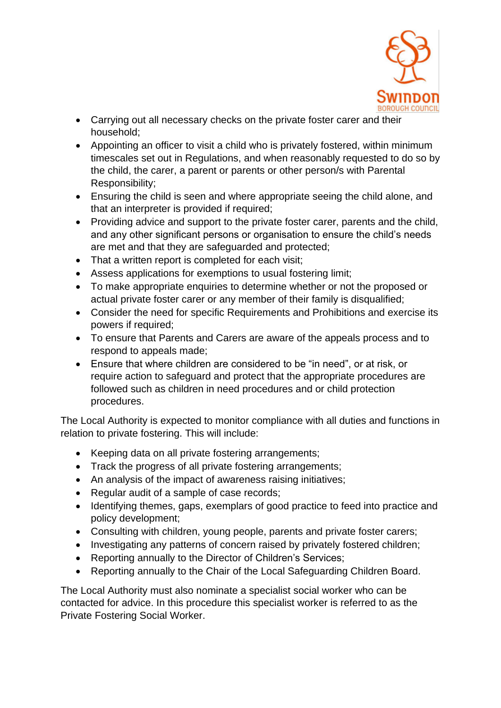

- Carrying out all necessary checks on the private foster carer and their household;
- Appointing an officer to visit a child who is privately fostered, within minimum timescales set out in Regulations, and when reasonably requested to do so by the child, the carer, a parent or parents or other person/s with Parental Responsibility;
- Ensuring the child is seen and where appropriate seeing the child alone, and that an interpreter is provided if required;
- Providing advice and support to the private foster carer, parents and the child, and any other significant persons or organisation to ensure the child's needs are met and that they are safeguarded and protected;
- That a written report is completed for each visit;
- Assess applications for exemptions to usual fostering limit;
- To make appropriate enquiries to determine whether or not the proposed or actual private foster carer or any member of their family is disqualified;
- Consider the need for specific Requirements and Prohibitions and exercise its powers if required;
- To ensure that Parents and Carers are aware of the appeals process and to respond to appeals made;
- Ensure that where children are considered to be "in need", or at risk, or require action to safeguard and protect that the appropriate procedures are followed such as children in need procedures and or child protection procedures.

The Local Authority is expected to monitor compliance with all duties and functions in relation to private fostering. This will include:

- Keeping data on all private fostering arrangements;
- Track the progress of all private fostering arrangements;
- An analysis of the impact of awareness raising initiatives;
- Regular audit of a sample of case records;
- Identifying themes, gaps, exemplars of good practice to feed into practice and policy development;
- Consulting with children, young people, parents and private foster carers;
- Investigating any patterns of concern raised by privately fostered children;
- Reporting annually to the Director of Children's Services;
- Reporting annually to the Chair of the Local Safeguarding Children Board.

The Local Authority must also nominate a specialist social worker who can be contacted for advice. In this procedure this specialist worker is referred to as the Private Fostering Social Worker.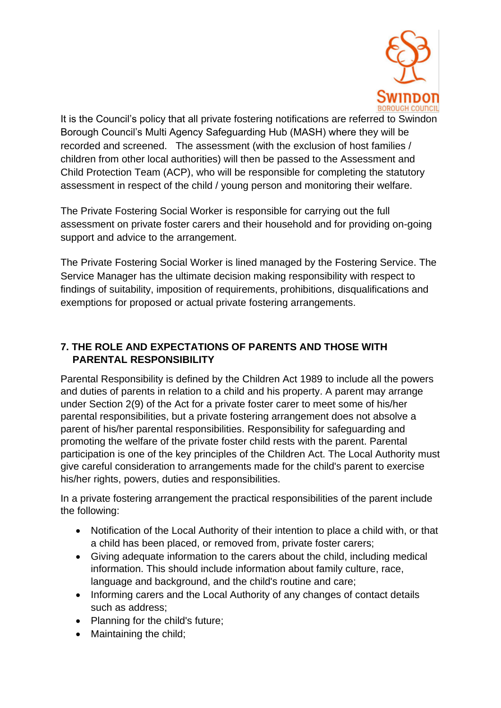

It is the Council's policy that all private fostering notifications are referred to Swindon Borough Council's Multi Agency Safeguarding Hub (MASH) where they will be recorded and screened. The assessment (with the exclusion of host families / children from other local authorities) will then be passed to the Assessment and Child Protection Team (ACP), who will be responsible for completing the statutory assessment in respect of the child / young person and monitoring their welfare.

The Private Fostering Social Worker is responsible for carrying out the full assessment on private foster carers and their household and for providing on-going support and advice to the arrangement.

The Private Fostering Social Worker is lined managed by the Fostering Service. The Service Manager has the ultimate decision making responsibility with respect to findings of suitability, imposition of requirements, prohibitions, disqualifications and exemptions for proposed or actual private fostering arrangements.

# **7. THE ROLE AND EXPECTATIONS OF PARENTS AND THOSE WITH PARENTAL RESPONSIBILITY**

Parental Responsibility is defined by the Children Act 1989 to include all the powers and duties of parents in relation to a child and his property. A parent may arrange under Section 2(9) of the Act for a private foster carer to meet some of his/her parental responsibilities, but a private fostering arrangement does not absolve a parent of his/her parental responsibilities. Responsibility for safeguarding and promoting the welfare of the private foster child rests with the parent. Parental participation is one of the key principles of the Children Act. The Local Authority must give careful consideration to arrangements made for the child's parent to exercise his/her rights, powers, duties and responsibilities.

In a private fostering arrangement the practical responsibilities of the parent include the following:

- Notification of the Local Authority of their intention to place a child with, or that a child has been placed, or removed from, private foster carers;
- Giving adequate information to the carers about the child, including medical information. This should include information about family culture, race, language and background, and the child's routine and care;
- Informing carers and the Local Authority of any changes of contact details such as address;
- Planning for the child's future;
- Maintaining the child;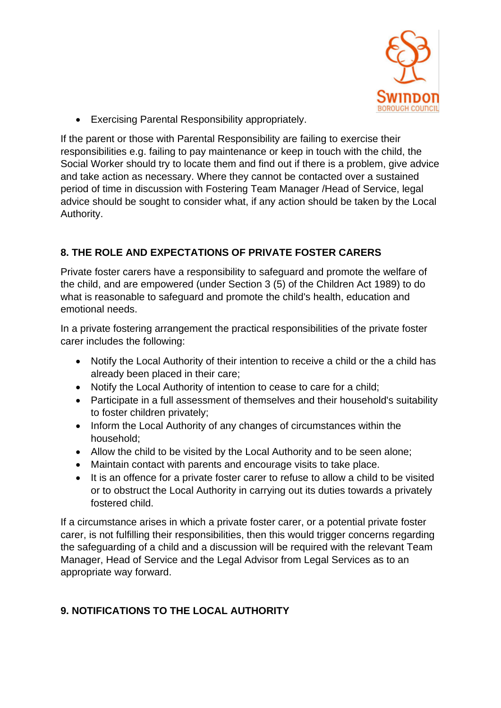

• Exercising Parental Responsibility appropriately.

If the parent or those with Parental Responsibility are failing to exercise their responsibilities e.g. failing to pay maintenance or keep in touch with the child, the Social Worker should try to locate them and find out if there is a problem, give advice and take action as necessary. Where they cannot be contacted over a sustained period of time in discussion with Fostering Team Manager /Head of Service, legal advice should be sought to consider what, if any action should be taken by the Local Authority.

# **8. THE ROLE AND EXPECTATIONS OF PRIVATE FOSTER CARERS**

Private foster carers have a responsibility to safeguard and promote the welfare of the child, and are empowered (under Section 3 (5) of the Children Act 1989) to do what is reasonable to safeguard and promote the child's health, education and emotional needs.

In a private fostering arrangement the practical responsibilities of the private foster carer includes the following:

- Notify the Local Authority of their intention to receive a child or the a child has already been placed in their care;
- Notify the Local Authority of intention to cease to care for a child;
- Participate in a full assessment of themselves and their household's suitability to foster children privately;
- Inform the Local Authority of any changes of circumstances within the household;
- Allow the child to be visited by the Local Authority and to be seen alone;
- Maintain contact with parents and encourage visits to take place.
- It is an offence for a private foster carer to refuse to allow a child to be visited or to obstruct the Local Authority in carrying out its duties towards a privately fostered child.

If a circumstance arises in which a private foster carer, or a potential private foster carer, is not fulfilling their responsibilities, then this would trigger concerns regarding the safeguarding of a child and a discussion will be required with the relevant Team Manager, Head of Service and the Legal Advisor from Legal Services as to an appropriate way forward.

# **9. NOTIFICATIONS TO THE LOCAL AUTHORITY**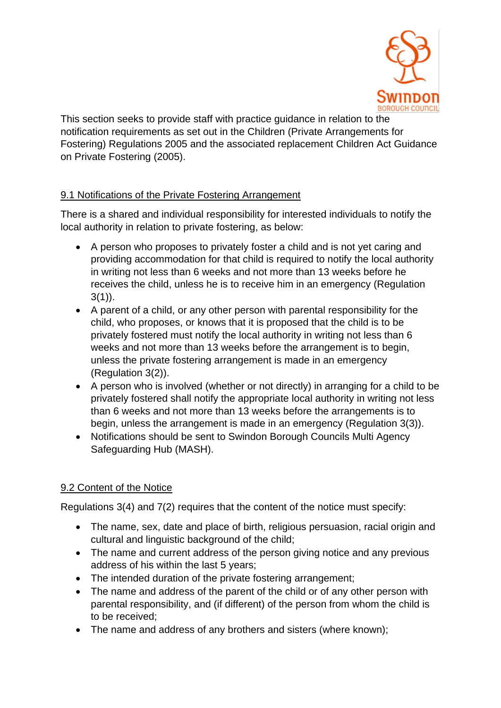

This section seeks to provide staff with practice guidance in relation to the notification requirements as set out in the Children (Private Arrangements for Fostering) Regulations 2005 and the associated replacement Children Act Guidance on Private Fostering (2005).

#### 9.1 Notifications of the Private Fostering Arrangement

There is a shared and individual responsibility for interested individuals to notify the local authority in relation to private fostering, as below:

- A person who proposes to privately foster a child and is not yet caring and providing accommodation for that child is required to notify the local authority in writing not less than 6 weeks and not more than 13 weeks before he receives the child, unless he is to receive him in an emergency (Regulation  $3(1)$ ).
- A parent of a child, or any other person with parental responsibility for the child, who proposes, or knows that it is proposed that the child is to be privately fostered must notify the local authority in writing not less than 6 weeks and not more than 13 weeks before the arrangement is to begin, unless the private fostering arrangement is made in an emergency (Regulation 3(2)).
- A person who is involved (whether or not directly) in arranging for a child to be privately fostered shall notify the appropriate local authority in writing not less than 6 weeks and not more than 13 weeks before the arrangements is to begin, unless the arrangement is made in an emergency (Regulation 3(3)).
- Notifications should be sent to Swindon Borough Councils Multi Agency Safeguarding Hub (MASH).

# 9.2 Content of the Notice

Regulations 3(4) and 7(2) requires that the content of the notice must specify:

- The name, sex, date and place of birth, religious persuasion, racial origin and cultural and linguistic background of the child;
- The name and current address of the person giving notice and any previous address of his within the last 5 years;
- The intended duration of the private fostering arrangement;
- The name and address of the parent of the child or of any other person with parental responsibility, and (if different) of the person from whom the child is to be received;
- The name and address of any brothers and sisters (where known);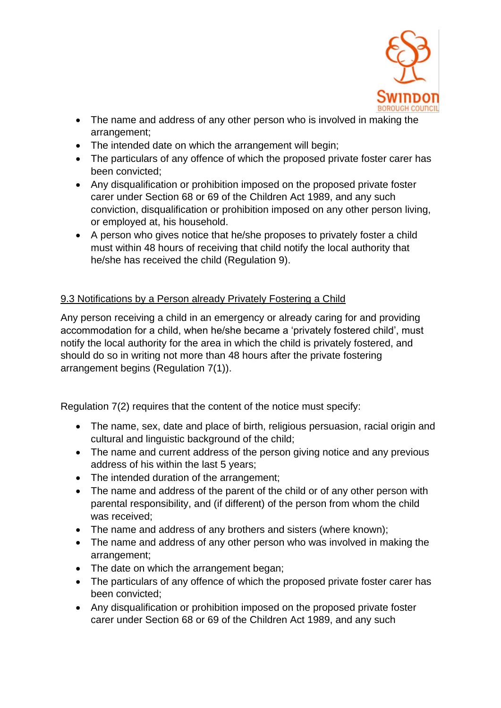

- The name and address of any other person who is involved in making the arrangement;
- The intended date on which the arrangement will begin:
- The particulars of any offence of which the proposed private foster carer has been convicted;
- Any disqualification or prohibition imposed on the proposed private foster carer under Section 68 or 69 of the Children Act 1989, and any such conviction, disqualification or prohibition imposed on any other person living, or employed at, his household.
- A person who gives notice that he/she proposes to privately foster a child must within 48 hours of receiving that child notify the local authority that he/she has received the child (Regulation 9).

# 9.3 Notifications by a Person already Privately Fostering a Child

Any person receiving a child in an emergency or already caring for and providing accommodation for a child, when he/she became a 'privately fostered child', must notify the local authority for the area in which the child is privately fostered, and should do so in writing not more than 48 hours after the private fostering arrangement begins (Regulation 7(1)).

Regulation 7(2) requires that the content of the notice must specify:

- The name, sex, date and place of birth, religious persuasion, racial origin and cultural and linguistic background of the child;
- The name and current address of the person giving notice and any previous address of his within the last 5 years;
- The intended duration of the arrangement;
- The name and address of the parent of the child or of any other person with parental responsibility, and (if different) of the person from whom the child was received;
- The name and address of any brothers and sisters (where known);
- The name and address of any other person who was involved in making the arrangement;
- The date on which the arrangement began;
- The particulars of any offence of which the proposed private foster carer has been convicted;
- Any disqualification or prohibition imposed on the proposed private foster carer under Section 68 or 69 of the Children Act 1989, and any such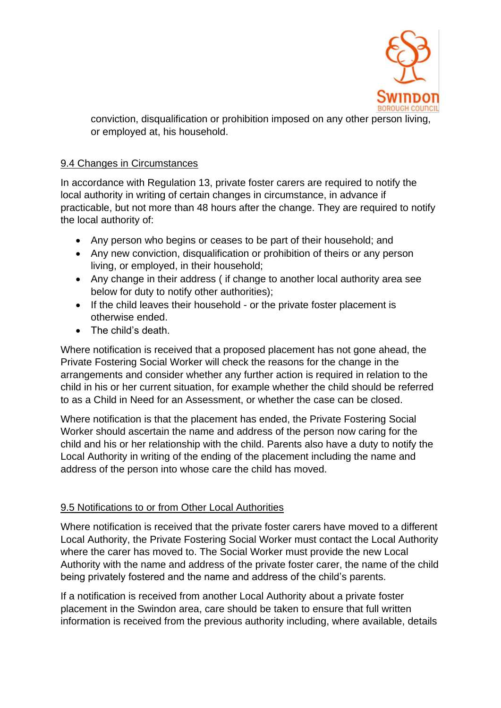

conviction, disqualification or prohibition imposed on any other person living, or employed at, his household.

#### 9.4 Changes in Circumstances

In accordance with Regulation 13, private foster carers are required to notify the local authority in writing of certain changes in circumstance, in advance if practicable, but not more than 48 hours after the change. They are required to notify the local authority of:

- Any person who begins or ceases to be part of their household; and
- Any new conviction, disqualification or prohibition of theirs or any person living, or employed, in their household;
- Any change in their address ( if change to another local authority area see below for duty to notify other authorities);
- If the child leaves their household or the private foster placement is otherwise ended.
- The child's death.

Where notification is received that a proposed placement has not gone ahead, the Private Fostering Social Worker will check the reasons for the change in the arrangements and consider whether any further action is required in relation to the child in his or her current situation, for example whether the child should be referred to as a Child in Need for an Assessment, or whether the case can be closed.

Where notification is that the placement has ended, the Private Fostering Social Worker should ascertain the name and address of the person now caring for the child and his or her relationship with the child. Parents also have a duty to notify the Local Authority in writing of the ending of the placement including the name and address of the person into whose care the child has moved.

#### 9.5 Notifications to or from Other Local Authorities

Where notification is received that the private foster carers have moved to a different Local Authority, the Private Fostering Social Worker must contact the Local Authority where the carer has moved to. The Social Worker must provide the new Local Authority with the name and address of the private foster carer, the name of the child being privately fostered and the name and address of the child's parents.

If a notification is received from another Local Authority about a private foster placement in the Swindon area, care should be taken to ensure that full written information is received from the previous authority including, where available, details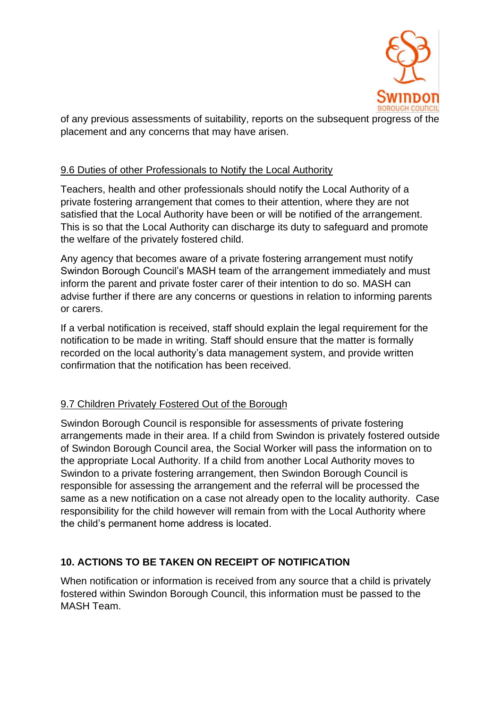

of any previous assessments of suitability, reports on the subsequent progress of the placement and any concerns that may have arisen.

#### 9.6 Duties of other Professionals to Notify the Local Authority

Teachers, health and other professionals should notify the Local Authority of a private fostering arrangement that comes to their attention, where they are not satisfied that the Local Authority have been or will be notified of the arrangement. This is so that the Local Authority can discharge its duty to safeguard and promote the welfare of the privately fostered child.

Any agency that becomes aware of a private fostering arrangement must notify Swindon Borough Council's MASH team of the arrangement immediately and must inform the parent and private foster carer of their intention to do so. MASH can advise further if there are any concerns or questions in relation to informing parents or carers.

If a verbal notification is received, staff should explain the legal requirement for the notification to be made in writing. Staff should ensure that the matter is formally recorded on the local authority's data management system, and provide written confirmation that the notification has been received.

#### 9.7 Children Privately Fostered Out of the Borough

Swindon Borough Council is responsible for assessments of private fostering arrangements made in their area. If a child from Swindon is privately fostered outside of Swindon Borough Council area, the Social Worker will pass the information on to the appropriate Local Authority. If a child from another Local Authority moves to Swindon to a private fostering arrangement, then Swindon Borough Council is responsible for assessing the arrangement and the referral will be processed the same as a new notification on a case not already open to the locality authority. Case responsibility for the child however will remain from with the Local Authority where the child's permanent home address is located.

#### **10. ACTIONS TO BE TAKEN ON RECEIPT OF NOTIFICATION**

When notification or information is received from any source that a child is privately fostered within Swindon Borough Council, this information must be passed to the MASH Team.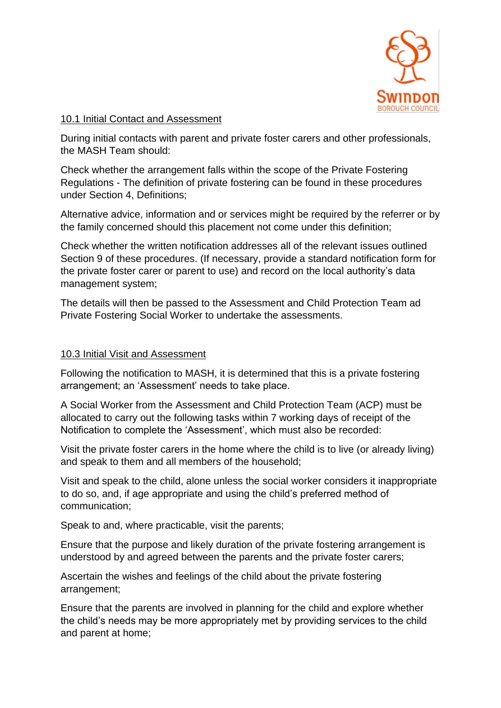

#### 10.1 Initial Contact and Assessment

During initial contacts with parent and private foster carers and other professionals, the MASH Team should:

Check whether the arrangement falls within the scope of the Private Fostering Regulations - The definition of private fostering can be found in these procedures under Section 4, Definitions;

Alternative advice, information and or services might be required by the referrer or by the family concerned should this placement not come under this definition;

Check whether the written notification addresses all of the relevant issues outlined Section 9 of these procedures. (If necessary, provide a standard notification form for the private foster carer or parent to use) and record on the local authority's data management system;

The details will then be passed to the Assessment and Child Protection Team ad Private Fostering Social Worker to undertake the assessments.

#### 10.3 Initial Visit and Assessment

Following the notification to MASH, it is determined that this is a private fostering arrangement; an 'Assessment' needs to take place.

A Social Worker from the Assessment and Child Protection Team (ACP) must be allocated to carry out the following tasks within 7 working days of receipt of the Notification to complete the 'Assessment', which must also be recorded:

Visit the private foster carers in the home where the child is to live (or already living) and speak to them and all members of the household;

Visit and speak to the child, alone unless the social worker considers it inappropriate to do so, and, if age appropriate and using the child's preferred method of communication;

Speak to and, where practicable, visit the parents;

Ensure that the purpose and likely duration of the private fostering arrangement is understood by and agreed between the parents and the private foster carers;

Ascertain the wishes and feelings of the child about the private fostering arrangement;

Ensure that the parents are involved in planning for the child and explore whether the child's needs may be more appropriately met by providing services to the child and parent at home;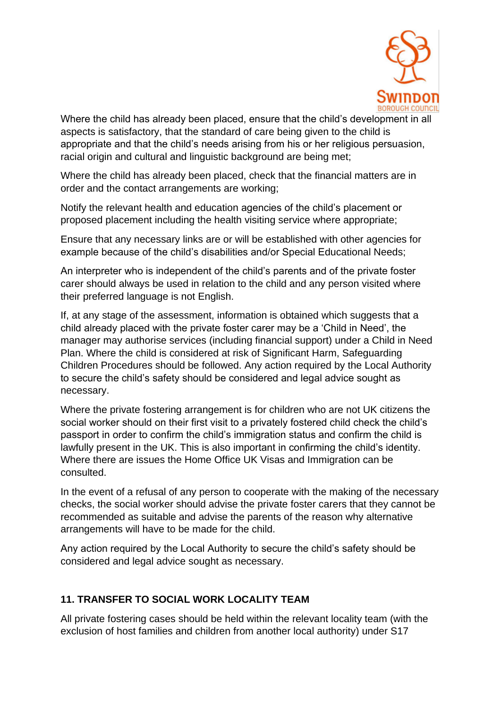

Where the child has already been placed, ensure that the child's development in all aspects is satisfactory, that the standard of care being given to the child is appropriate and that the child's needs arising from his or her religious persuasion, racial origin and cultural and linguistic background are being met;

Where the child has already been placed, check that the financial matters are in order and the contact arrangements are working;

Notify the relevant health and education agencies of the child's placement or proposed placement including the health visiting service where appropriate;

Ensure that any necessary links are or will be established with other agencies for example because of the child's disabilities and/or Special Educational Needs;

An interpreter who is independent of the child's parents and of the private foster carer should always be used in relation to the child and any person visited where their preferred language is not English.

If, at any stage of the assessment, information is obtained which suggests that a child already placed with the private foster carer may be a 'Child in Need', the manager may authorise services (including financial support) under a Child in Need Plan. Where the child is considered at risk of Significant Harm, Safeguarding Children Procedures should be followed. Any action required by the Local Authority to secure the child's safety should be considered and legal advice sought as necessary.

Where the private fostering arrangement is for children who are not UK citizens the social worker should on their first visit to a privately fostered child check the child's passport in order to confirm the child's immigration status and confirm the child is lawfully present in the UK. This is also important in confirming the child's identity. Where there are issues the Home Office UK Visas and Immigration can be consulted.

In the event of a refusal of any person to cooperate with the making of the necessary checks, the social worker should advise the private foster carers that they cannot be recommended as suitable and advise the parents of the reason why alternative arrangements will have to be made for the child.

Any action required by the Local Authority to secure the child's safety should be considered and legal advice sought as necessary.

# **11. TRANSFER TO SOCIAL WORK LOCALITY TEAM**

All private fostering cases should be held within the relevant locality team (with the exclusion of host families and children from another local authority) under S17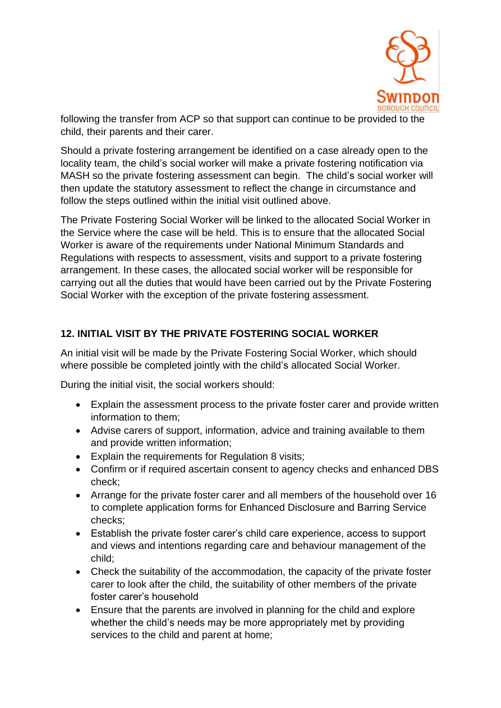

following the transfer from ACP so that support can continue to be provided to the child, their parents and their carer.

Should a private fostering arrangement be identified on a case already open to the locality team, the child's social worker will make a private fostering notification via MASH so the private fostering assessment can begin. The child's social worker will then update the statutory assessment to reflect the change in circumstance and follow the steps outlined within the initial visit outlined above.

The Private Fostering Social Worker will be linked to the allocated Social Worker in the Service where the case will be held. This is to ensure that the allocated Social Worker is aware of the requirements under National Minimum Standards and Regulations with respects to assessment, visits and support to a private fostering arrangement. In these cases, the allocated social worker will be responsible for carrying out all the duties that would have been carried out by the Private Fostering Social Worker with the exception of the private fostering assessment.

# **12. INITIAL VISIT BY THE PRIVATE FOSTERING SOCIAL WORKER**

An initial visit will be made by the Private Fostering Social Worker, which should where possible be completed jointly with the child's allocated Social Worker.

During the initial visit, the social workers should:

- Explain the assessment process to the private foster carer and provide written information to them;
- Advise carers of support, information, advice and training available to them and provide written information;
- Explain the requirements for Regulation 8 visits;
- Confirm or if required ascertain consent to agency checks and enhanced DBS check;
- Arrange for the private foster carer and all members of the household over 16 to complete application forms for Enhanced Disclosure and Barring Service checks;
- Establish the private foster carer's child care experience, access to support and views and intentions regarding care and behaviour management of the child;
- Check the suitability of the accommodation, the capacity of the private foster carer to look after the child, the suitability of other members of the private foster carer's household
- Ensure that the parents are involved in planning for the child and explore whether the child's needs may be more appropriately met by providing services to the child and parent at home;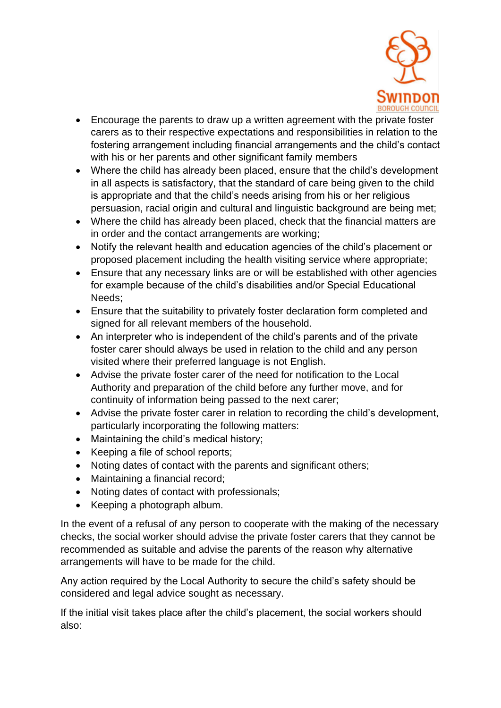

- Encourage the parents to draw up a written agreement with the private foster carers as to their respective expectations and responsibilities in relation to the fostering arrangement including financial arrangements and the child's contact with his or her parents and other significant family members
- Where the child has already been placed, ensure that the child's development in all aspects is satisfactory, that the standard of care being given to the child is appropriate and that the child's needs arising from his or her religious persuasion, racial origin and cultural and linguistic background are being met;
- Where the child has already been placed, check that the financial matters are in order and the contact arrangements are working;
- Notify the relevant health and education agencies of the child's placement or proposed placement including the health visiting service where appropriate;
- Ensure that any necessary links are or will be established with other agencies for example because of the child's disabilities and/or Special Educational Needs;
- Ensure that the suitability to privately foster declaration form completed and signed for all relevant members of the household.
- An interpreter who is independent of the child's parents and of the private foster carer should always be used in relation to the child and any person visited where their preferred language is not English.
- Advise the private foster carer of the need for notification to the Local Authority and preparation of the child before any further move, and for continuity of information being passed to the next carer;
- Advise the private foster carer in relation to recording the child's development, particularly incorporating the following matters:
- Maintaining the child's medical history;
- Keeping a file of school reports;
- Noting dates of contact with the parents and significant others;
- Maintaining a financial record;
- Noting dates of contact with professionals;
- Keeping a photograph album.

In the event of a refusal of any person to cooperate with the making of the necessary checks, the social worker should advise the private foster carers that they cannot be recommended as suitable and advise the parents of the reason why alternative arrangements will have to be made for the child.

Any action required by the Local Authority to secure the child's safety should be considered and legal advice sought as necessary.

If the initial visit takes place after the child's placement, the social workers should also: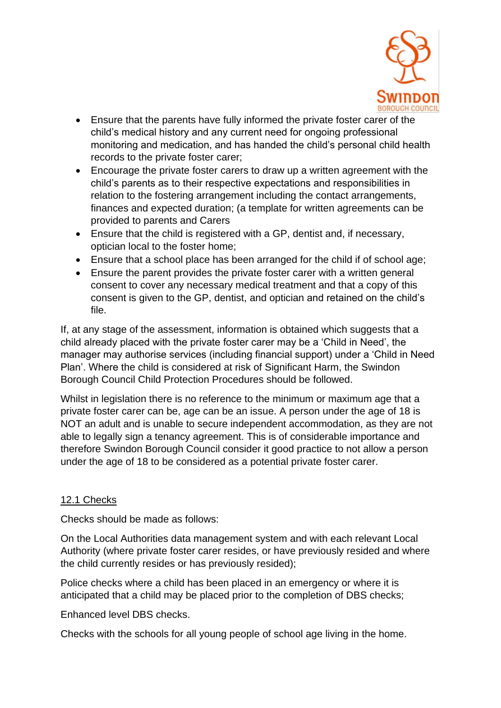

- Ensure that the parents have fully informed the private foster carer of the child's medical history and any current need for ongoing professional monitoring and medication, and has handed the child's personal child health records to the private foster carer;
- Encourage the private foster carers to draw up a written agreement with the child's parents as to their respective expectations and responsibilities in relation to the fostering arrangement including the contact arrangements, finances and expected duration; (a template for written agreements can be provided to parents and Carers
- Ensure that the child is registered with a GP, dentist and, if necessary, optician local to the foster home;
- Ensure that a school place has been arranged for the child if of school age;
- Ensure the parent provides the private foster carer with a written general consent to cover any necessary medical treatment and that a copy of this consent is given to the GP, dentist, and optician and retained on the child's file.

If, at any stage of the assessment, information is obtained which suggests that a child already placed with the private foster carer may be a 'Child in Need', the manager may authorise services (including financial support) under a 'Child in Need Plan'. Where the child is considered at risk of Significant Harm, the Swindon Borough Council Child Protection Procedures should be followed.

Whilst in legislation there is no reference to the minimum or maximum age that a private foster carer can be, age can be an issue. A person under the age of 18 is NOT an adult and is unable to secure independent accommodation, as they are not able to legally sign a tenancy agreement. This is of considerable importance and therefore Swindon Borough Council consider it good practice to not allow a person under the age of 18 to be considered as a potential private foster carer.

#### 12.1 Checks

Checks should be made as follows:

On the Local Authorities data management system and with each relevant Local Authority (where private foster carer resides, or have previously resided and where the child currently resides or has previously resided);

Police checks where a child has been placed in an emergency or where it is anticipated that a child may be placed prior to the completion of DBS checks;

Enhanced level DBS checks.

Checks with the schools for all young people of school age living in the home.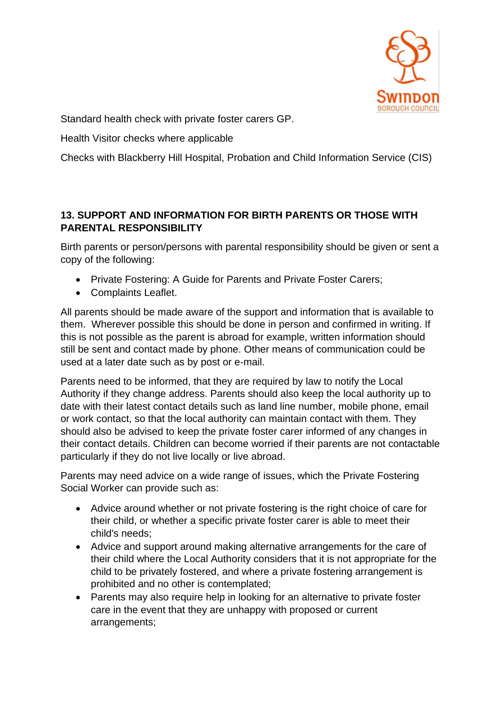

Standard health check with private foster carers GP.

Health Visitor checks where applicable

Checks with Blackberry Hill Hospital, Probation and Child Information Service (CIS)

# **13. SUPPORT AND INFORMATION FOR BIRTH PARENTS OR THOSE WITH PARENTAL RESPONSIBILITY**

Birth parents or person/persons with parental responsibility should be given or sent a copy of the following:

- Private Fostering: A Guide for Parents and Private Foster Carers;
- Complaints Leaflet.

All parents should be made aware of the support and information that is available to them. Wherever possible this should be done in person and confirmed in writing. If this is not possible as the parent is abroad for example, written information should still be sent and contact made by phone. Other means of communication could be used at a later date such as by post or e-mail.

Parents need to be informed, that they are required by law to notify the Local Authority if they change address. Parents should also keep the local authority up to date with their latest contact details such as land line number, mobile phone, email or work contact, so that the local authority can maintain contact with them. They should also be advised to keep the private foster carer informed of any changes in their contact details. Children can become worried if their parents are not contactable particularly if they do not live locally or live abroad.

Parents may need advice on a wide range of issues, which the Private Fostering Social Worker can provide such as:

- Advice around whether or not private fostering is the right choice of care for their child, or whether a specific private foster carer is able to meet their child's needs;
- Advice and support around making alternative arrangements for the care of their child where the Local Authority considers that it is not appropriate for the child to be privately fostered, and where a private fostering arrangement is prohibited and no other is contemplated;
- Parents may also require help in looking for an alternative to private foster care in the event that they are unhappy with proposed or current arrangements;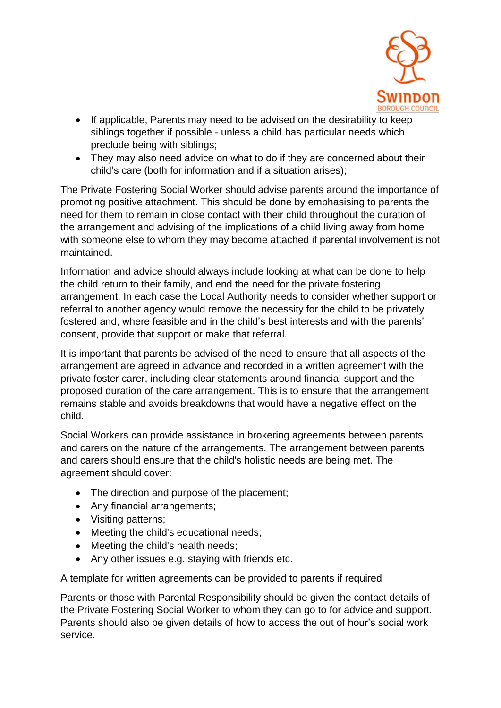

- If applicable, Parents may need to be advised on the desirability to keep siblings together if possible - unless a child has particular needs which preclude being with siblings;
- They may also need advice on what to do if they are concerned about their child's care (both for information and if a situation arises);

The Private Fostering Social Worker should advise parents around the importance of promoting positive attachment. This should be done by emphasising to parents the need for them to remain in close contact with their child throughout the duration of the arrangement and advising of the implications of a child living away from home with someone else to whom they may become attached if parental involvement is not maintained.

Information and advice should always include looking at what can be done to help the child return to their family, and end the need for the private fostering arrangement. In each case the Local Authority needs to consider whether support or referral to another agency would remove the necessity for the child to be privately fostered and, where feasible and in the child's best interests and with the parents' consent, provide that support or make that referral.

It is important that parents be advised of the need to ensure that all aspects of the arrangement are agreed in advance and recorded in a written agreement with the private foster carer, including clear statements around financial support and the proposed duration of the care arrangement. This is to ensure that the arrangement remains stable and avoids breakdowns that would have a negative effect on the child.

Social Workers can provide assistance in brokering agreements between parents and carers on the nature of the arrangements. The arrangement between parents and carers should ensure that the child's holistic needs are being met. The agreement should cover:

- The direction and purpose of the placement;
- Any financial arrangements;
- Visiting patterns;
- Meeting the child's educational needs;
- Meeting the child's health needs;
- Any other issues e.g. staying with friends etc.

A template for written agreements can be provided to parents if required

Parents or those with Parental Responsibility should be given the contact details of the Private Fostering Social Worker to whom they can go to for advice and support. Parents should also be given details of how to access the out of hour's social work service.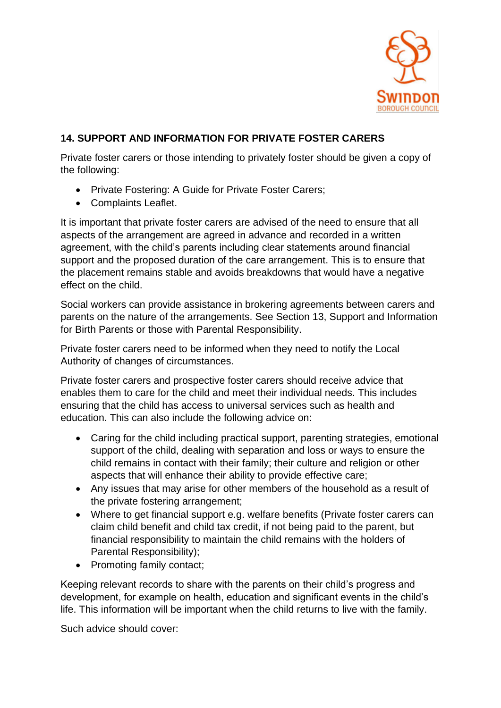

#### **14. SUPPORT AND INFORMATION FOR PRIVATE FOSTER CARERS**

Private foster carers or those intending to privately foster should be given a copy of the following:

- Private Fostering: A Guide for Private Foster Carers;
- Complaints Leaflet.

It is important that private foster carers are advised of the need to ensure that all aspects of the arrangement are agreed in advance and recorded in a written agreement, with the child's parents including clear statements around financial support and the proposed duration of the care arrangement. This is to ensure that the placement remains stable and avoids breakdowns that would have a negative effect on the child.

Social workers can provide assistance in brokering agreements between carers and parents on the nature of the arrangements. See Section 13, Support and Information for Birth Parents or those with Parental Responsibility.

Private foster carers need to be informed when they need to notify the Local Authority of changes of circumstances.

Private foster carers and prospective foster carers should receive advice that enables them to care for the child and meet their individual needs. This includes ensuring that the child has access to universal services such as health and education. This can also include the following advice on:

- Caring for the child including practical support, parenting strategies, emotional support of the child, dealing with separation and loss or ways to ensure the child remains in contact with their family; their culture and religion or other aspects that will enhance their ability to provide effective care;
- Any issues that may arise for other members of the household as a result of the private fostering arrangement;
- Where to get financial support e.g. welfare benefits (Private foster carers can claim child benefit and child tax credit, if not being paid to the parent, but financial responsibility to maintain the child remains with the holders of Parental Responsibility);
- Promoting family contact;

Keeping relevant records to share with the parents on their child's progress and development, for example on health, education and significant events in the child's life. This information will be important when the child returns to live with the family.

Such advice should cover: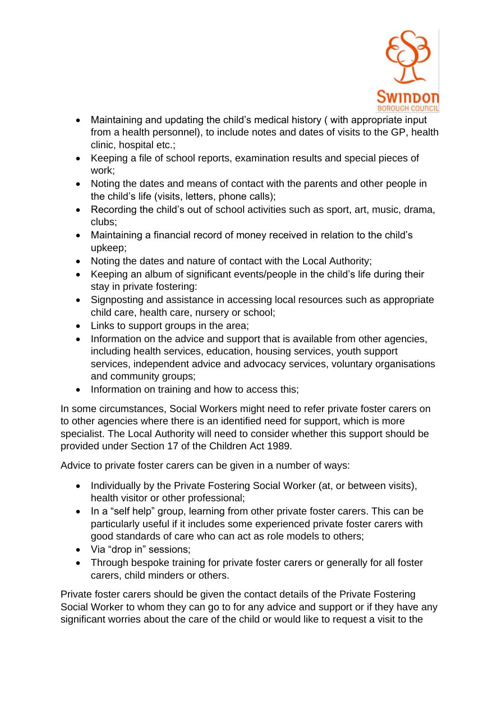

- Maintaining and updating the child's medical history ( with appropriate input from a health personnel), to include notes and dates of visits to the GP, health clinic, hospital etc.;
- Keeping a file of school reports, examination results and special pieces of work;
- Noting the dates and means of contact with the parents and other people in the child's life (visits, letters, phone calls);
- Recording the child's out of school activities such as sport, art, music, drama, clubs;
- Maintaining a financial record of money received in relation to the child's upkeep;
- Noting the dates and nature of contact with the Local Authority;
- Keeping an album of significant events/people in the child's life during their stay in private fostering:
- Signposting and assistance in accessing local resources such as appropriate child care, health care, nursery or school;
- Links to support groups in the area;
- Information on the advice and support that is available from other agencies, including health services, education, housing services, youth support services, independent advice and advocacy services, voluntary organisations and community groups;
- Information on training and how to access this;

In some circumstances, Social Workers might need to refer private foster carers on to other agencies where there is an identified need for support, which is more specialist. The Local Authority will need to consider whether this support should be provided under Section 17 of the Children Act 1989.

Advice to private foster carers can be given in a number of ways:

- Individually by the Private Fostering Social Worker (at, or between visits), health visitor or other professional;
- In a "self help" group, learning from other private foster carers. This can be particularly useful if it includes some experienced private foster carers with good standards of care who can act as role models to others;
- Via "drop in" sessions;
- Through bespoke training for private foster carers or generally for all foster carers, child minders or others.

Private foster carers should be given the contact details of the Private Fostering Social Worker to whom they can go to for any advice and support or if they have any significant worries about the care of the child or would like to request a visit to the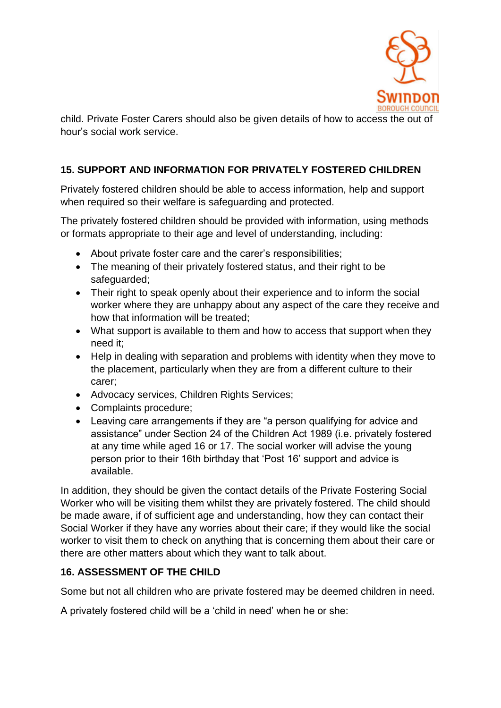

child. Private Foster Carers should also be given details of how to access the out of hour's social work service.

#### **15. SUPPORT AND INFORMATION FOR PRIVATELY FOSTERED CHILDREN**

Privately fostered children should be able to access information, help and support when required so their welfare is safeguarding and protected.

The privately fostered children should be provided with information, using methods or formats appropriate to their age and level of understanding, including:

- About private foster care and the carer's responsibilities;
- The meaning of their privately fostered status, and their right to be safeguarded;
- Their right to speak openly about their experience and to inform the social worker where they are unhappy about any aspect of the care they receive and how that information will be treated;
- What support is available to them and how to access that support when they need it;
- Help in dealing with separation and problems with identity when they move to the placement, particularly when they are from a different culture to their carer;
- Advocacy services, Children Rights Services;
- Complaints procedure;
- Leaving care arrangements if they are "a person qualifying for advice and assistance" under Section 24 of the Children Act 1989 (i.e. privately fostered at any time while aged 16 or 17. The social worker will advise the young person prior to their 16th birthday that 'Post 16' support and advice is available.

In addition, they should be given the contact details of the Private Fostering Social Worker who will be visiting them whilst they are privately fostered. The child should be made aware, if of sufficient age and understanding, how they can contact their Social Worker if they have any worries about their care; if they would like the social worker to visit them to check on anything that is concerning them about their care or there are other matters about which they want to talk about.

#### **16. ASSESSMENT OF THE CHILD**

Some but not all children who are private fostered may be deemed children in need.

A privately fostered child will be a 'child in need' when he or she: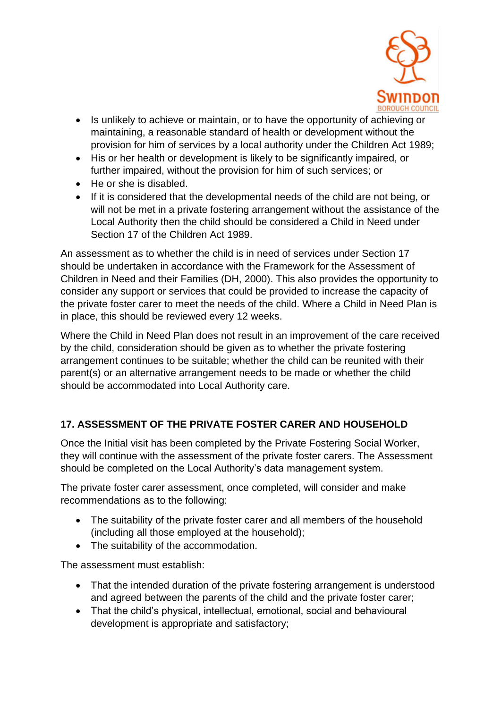

- Is unlikely to achieve or maintain, or to have the opportunity of achieving or maintaining, a reasonable standard of health or development without the provision for him of services by a local authority under the Children Act 1989;
- His or her health or development is likely to be significantly impaired, or further impaired, without the provision for him of such services; or
- He or she is disabled.
- If it is considered that the developmental needs of the child are not being, or will not be met in a private fostering arrangement without the assistance of the Local Authority then the child should be considered a Child in Need under Section 17 of the Children Act 1989.

An assessment as to whether the child is in need of services under Section 17 should be undertaken in accordance with the Framework for the Assessment of Children in Need and their Families (DH, 2000). This also provides the opportunity to consider any support or services that could be provided to increase the capacity of the private foster carer to meet the needs of the child. Where a Child in Need Plan is in place, this should be reviewed every 12 weeks.

Where the Child in Need Plan does not result in an improvement of the care received by the child, consideration should be given as to whether the private fostering arrangement continues to be suitable; whether the child can be reunited with their parent(s) or an alternative arrangement needs to be made or whether the child should be accommodated into Local Authority care.

# **17. ASSESSMENT OF THE PRIVATE FOSTER CARER AND HOUSEHOLD**

Once the Initial visit has been completed by the Private Fostering Social Worker, they will continue with the assessment of the private foster carers. The Assessment should be completed on the Local Authority's data management system.

The private foster carer assessment, once completed, will consider and make recommendations as to the following:

- The suitability of the private foster carer and all members of the household (including all those employed at the household);
- The suitability of the accommodation.

The assessment must establish:

- That the intended duration of the private fostering arrangement is understood and agreed between the parents of the child and the private foster carer;
- That the child's physical, intellectual, emotional, social and behavioural development is appropriate and satisfactory;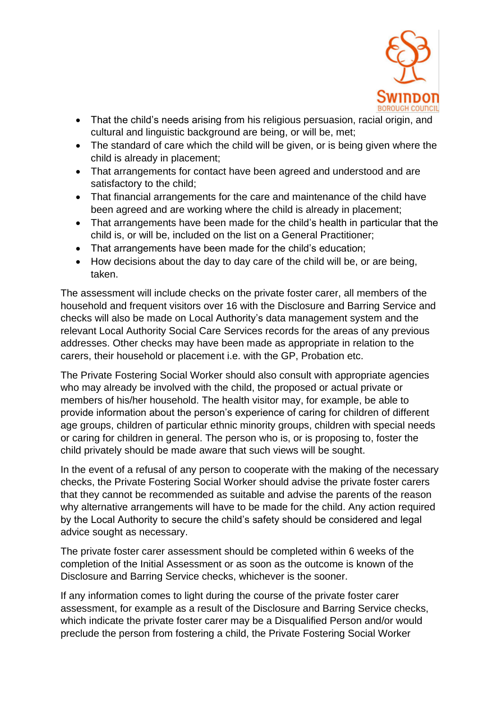

- That the child's needs arising from his religious persuasion, racial origin, and cultural and linguistic background are being, or will be, met;
- The standard of care which the child will be given, or is being given where the child is already in placement;
- That arrangements for contact have been agreed and understood and are satisfactory to the child;
- That financial arrangements for the care and maintenance of the child have been agreed and are working where the child is already in placement;
- That arrangements have been made for the child's health in particular that the child is, or will be, included on the list on a General Practitioner;
- That arrangements have been made for the child's education:
- How decisions about the day to day care of the child will be, or are being, taken.

The assessment will include checks on the private foster carer, all members of the household and frequent visitors over 16 with the Disclosure and Barring Service and checks will also be made on Local Authority's data management system and the relevant Local Authority Social Care Services records for the areas of any previous addresses. Other checks may have been made as appropriate in relation to the carers, their household or placement i.e. with the GP, Probation etc.

The Private Fostering Social Worker should also consult with appropriate agencies who may already be involved with the child, the proposed or actual private or members of his/her household. The health visitor may, for example, be able to provide information about the person's experience of caring for children of different age groups, children of particular ethnic minority groups, children with special needs or caring for children in general. The person who is, or is proposing to, foster the child privately should be made aware that such views will be sought.

In the event of a refusal of any person to cooperate with the making of the necessary checks, the Private Fostering Social Worker should advise the private foster carers that they cannot be recommended as suitable and advise the parents of the reason why alternative arrangements will have to be made for the child. Any action required by the Local Authority to secure the child's safety should be considered and legal advice sought as necessary.

The private foster carer assessment should be completed within 6 weeks of the completion of the Initial Assessment or as soon as the outcome is known of the Disclosure and Barring Service checks, whichever is the sooner.

If any information comes to light during the course of the private foster carer assessment, for example as a result of the Disclosure and Barring Service checks, which indicate the private foster carer may be a Disqualified Person and/or would preclude the person from fostering a child, the Private Fostering Social Worker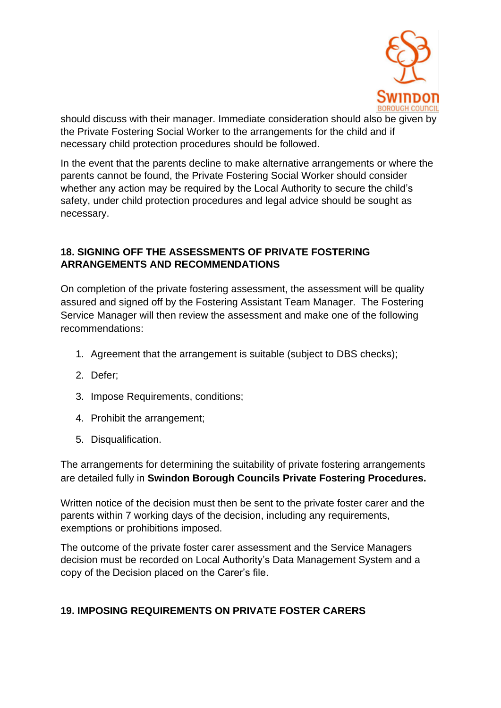

should discuss with their manager. Immediate consideration should also be given by the Private Fostering Social Worker to the arrangements for the child and if necessary child protection procedures should be followed.

In the event that the parents decline to make alternative arrangements or where the parents cannot be found, the Private Fostering Social Worker should consider whether any action may be required by the Local Authority to secure the child's safety, under child protection procedures and legal advice should be sought as necessary.

#### **18. SIGNING OFF THE ASSESSMENTS OF PRIVATE FOSTERING ARRANGEMENTS AND RECOMMENDATIONS**

On completion of the private fostering assessment, the assessment will be quality assured and signed off by the Fostering Assistant Team Manager. The Fostering Service Manager will then review the assessment and make one of the following recommendations:

- 1. Agreement that the arrangement is suitable (subject to DBS checks);
- 2. Defer;
- 3. Impose Requirements, conditions;
- 4. Prohibit the arrangement;
- 5. Disqualification.

The arrangements for determining the suitability of private fostering arrangements are detailed fully in **Swindon Borough Councils Private Fostering Procedures.**

Written notice of the decision must then be sent to the private foster carer and the parents within 7 working days of the decision, including any requirements, exemptions or prohibitions imposed.

The outcome of the private foster carer assessment and the Service Managers decision must be recorded on Local Authority's Data Management System and a copy of the Decision placed on the Carer's file.

# **19. IMPOSING REQUIREMENTS ON PRIVATE FOSTER CARERS**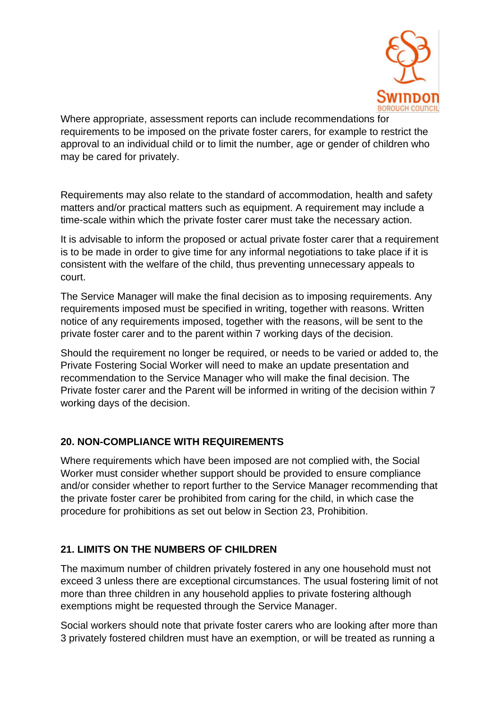

Where appropriate, assessment reports can include recommendations for requirements to be imposed on the private foster carers, for example to restrict the approval to an individual child or to limit the number, age or gender of children who may be cared for privately.

Requirements may also relate to the standard of accommodation, health and safety matters and/or practical matters such as equipment. A requirement may include a time-scale within which the private foster carer must take the necessary action.

It is advisable to inform the proposed or actual private foster carer that a requirement is to be made in order to give time for any informal negotiations to take place if it is consistent with the welfare of the child, thus preventing unnecessary appeals to court.

The Service Manager will make the final decision as to imposing requirements. Any requirements imposed must be specified in writing, together with reasons. Written notice of any requirements imposed, together with the reasons, will be sent to the private foster carer and to the parent within 7 working days of the decision.

Should the requirement no longer be required, or needs to be varied or added to, the Private Fostering Social Worker will need to make an update presentation and recommendation to the Service Manager who will make the final decision. The Private foster carer and the Parent will be informed in writing of the decision within 7 working days of the decision.

#### **20. NON-COMPLIANCE WITH REQUIREMENTS**

Where requirements which have been imposed are not complied with, the Social Worker must consider whether support should be provided to ensure compliance and/or consider whether to report further to the Service Manager recommending that the private foster carer be prohibited from caring for the child, in which case the procedure for prohibitions as set out below in Section 23, Prohibition.

# **21. LIMITS ON THE NUMBERS OF CHILDREN**

The maximum number of children privately fostered in any one household must not exceed 3 unless there are exceptional circumstances. The usual fostering limit of not more than three children in any household applies to private fostering although exemptions might be requested through the Service Manager.

Social workers should note that private foster carers who are looking after more than 3 privately fostered children must have an exemption, or will be treated as running a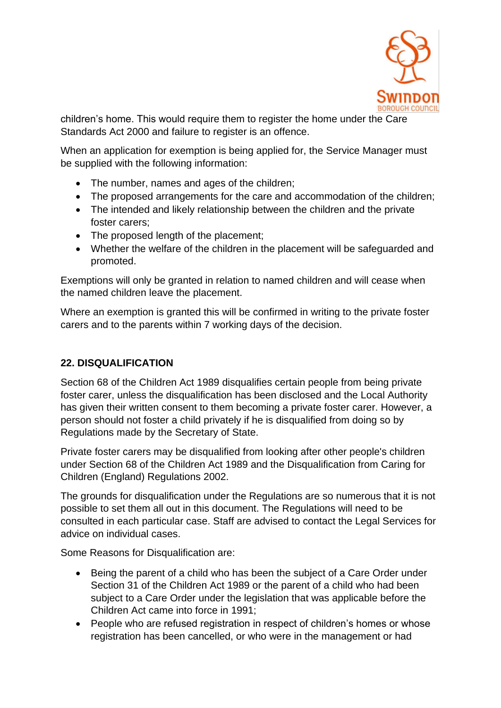

children's home. This would require them to register the home under the Care Standards Act 2000 and failure to register is an offence.

When an application for exemption is being applied for, the Service Manager must be supplied with the following information:

- The number, names and ages of the children;
- The proposed arrangements for the care and accommodation of the children;
- The intended and likely relationship between the children and the private foster carers;
- The proposed length of the placement;
- Whether the welfare of the children in the placement will be safeguarded and promoted.

Exemptions will only be granted in relation to named children and will cease when the named children leave the placement.

Where an exemption is granted this will be confirmed in writing to the private foster carers and to the parents within 7 working days of the decision.

# **22. DISQUALIFICATION**

Section 68 of the Children Act 1989 disqualifies certain people from being private foster carer, unless the disqualification has been disclosed and the Local Authority has given their written consent to them becoming a private foster carer. However, a person should not foster a child privately if he is disqualified from doing so by Regulations made by the Secretary of State.

Private foster carers may be disqualified from looking after other people's children under Section 68 of the Children Act 1989 and the Disqualification from Caring for Children (England) Regulations 2002.

The grounds for disqualification under the Regulations are so numerous that it is not possible to set them all out in this document. The Regulations will need to be consulted in each particular case. Staff are advised to contact the Legal Services for advice on individual cases.

Some Reasons for Disqualification are:

- Being the parent of a child who has been the subject of a Care Order under Section 31 of the Children Act 1989 or the parent of a child who had been subject to a Care Order under the legislation that was applicable before the Children Act came into force in 1991;
- People who are refused registration in respect of children's homes or whose registration has been cancelled, or who were in the management or had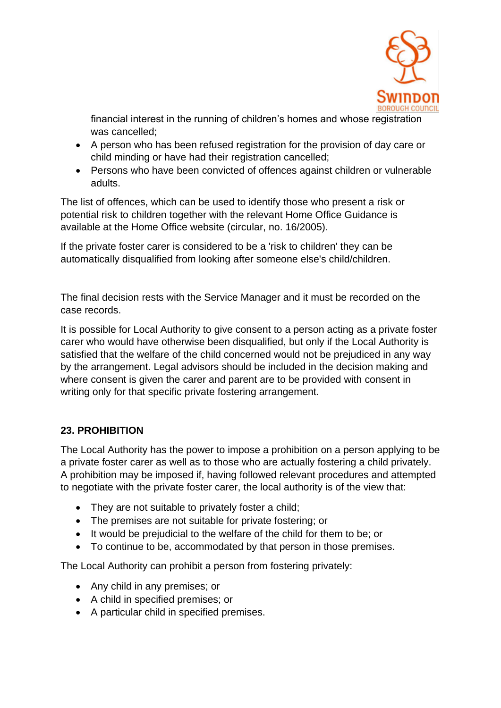

financial interest in the running of children's homes and whose registration was cancelled;

- A person who has been refused registration for the provision of day care or child minding or have had their registration cancelled;
- Persons who have been convicted of offences against children or vulnerable adults.

The list of offences, which can be used to identify those who present a risk or potential risk to children together with the relevant Home Office Guidance is available at the Home Office website (circular, no. 16/2005).

If the private foster carer is considered to be a 'risk to children' they can be automatically disqualified from looking after someone else's child/children.

The final decision rests with the Service Manager and it must be recorded on the case records.

It is possible for Local Authority to give consent to a person acting as a private foster carer who would have otherwise been disqualified, but only if the Local Authority is satisfied that the welfare of the child concerned would not be prejudiced in any way by the arrangement. Legal advisors should be included in the decision making and where consent is given the carer and parent are to be provided with consent in writing only for that specific private fostering arrangement.

# **23. PROHIBITION**

The Local Authority has the power to impose a prohibition on a person applying to be a private foster carer as well as to those who are actually fostering a child privately. A prohibition may be imposed if, having followed relevant procedures and attempted to negotiate with the private foster carer, the local authority is of the view that:

- They are not suitable to privately foster a child;
- The premises are not suitable for private fostering; or
- It would be prejudicial to the welfare of the child for them to be; or
- To continue to be, accommodated by that person in those premises.

The Local Authority can prohibit a person from fostering privately:

- Any child in any premises; or
- A child in specified premises; or
- A particular child in specified premises.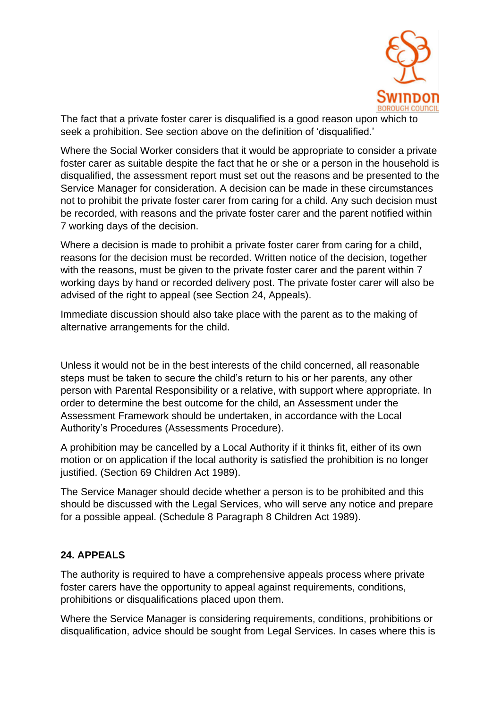

The fact that a private foster carer is disqualified is a good reason upon which to seek a prohibition. See section above on the definition of 'disqualified.'

Where the Social Worker considers that it would be appropriate to consider a private foster carer as suitable despite the fact that he or she or a person in the household is disqualified, the assessment report must set out the reasons and be presented to the Service Manager for consideration. A decision can be made in these circumstances not to prohibit the private foster carer from caring for a child. Any such decision must be recorded, with reasons and the private foster carer and the parent notified within 7 working days of the decision.

Where a decision is made to prohibit a private foster carer from caring for a child, reasons for the decision must be recorded. Written notice of the decision, together with the reasons, must be given to the private foster carer and the parent within 7 working days by hand or recorded delivery post. The private foster carer will also be advised of the right to appeal (see Section 24, Appeals).

Immediate discussion should also take place with the parent as to the making of alternative arrangements for the child.

Unless it would not be in the best interests of the child concerned, all reasonable steps must be taken to secure the child's return to his or her parents, any other person with Parental Responsibility or a relative, with support where appropriate. In order to determine the best outcome for the child, an Assessment under the Assessment Framework should be undertaken, in accordance with the Local Authority's Procedures (Assessments Procedure).

A prohibition may be cancelled by a Local Authority if it thinks fit, either of its own motion or on application if the local authority is satisfied the prohibition is no longer justified. (Section 69 Children Act 1989).

The Service Manager should decide whether a person is to be prohibited and this should be discussed with the Legal Services, who will serve any notice and prepare for a possible appeal. (Schedule 8 Paragraph 8 Children Act 1989).

#### **24. APPEALS**

The authority is required to have a comprehensive appeals process where private foster carers have the opportunity to appeal against requirements, conditions, prohibitions or disqualifications placed upon them.

Where the Service Manager is considering requirements, conditions, prohibitions or disqualification, advice should be sought from Legal Services. In cases where this is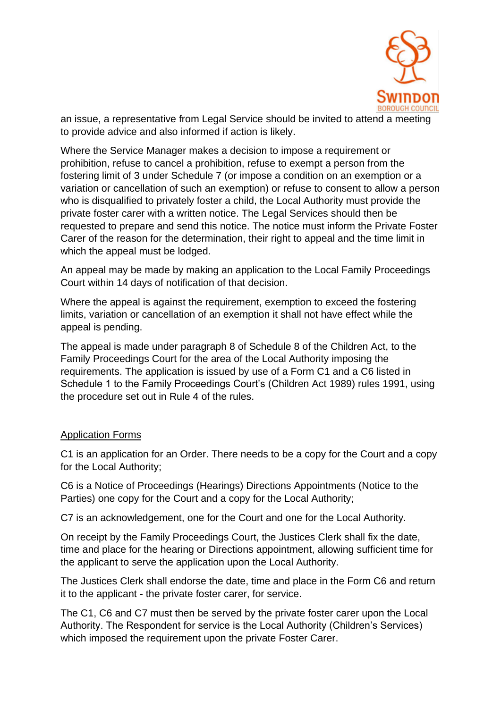

an issue, a representative from Legal Service should be invited to attend a meeting to provide advice and also informed if action is likely.

Where the Service Manager makes a decision to impose a requirement or prohibition, refuse to cancel a prohibition, refuse to exempt a person from the fostering limit of 3 under Schedule 7 (or impose a condition on an exemption or a variation or cancellation of such an exemption) or refuse to consent to allow a person who is disqualified to privately foster a child, the Local Authority must provide the private foster carer with a written notice. The Legal Services should then be requested to prepare and send this notice. The notice must inform the Private Foster Carer of the reason for the determination, their right to appeal and the time limit in which the appeal must be lodged.

An appeal may be made by making an application to the Local Family Proceedings Court within 14 days of notification of that decision.

Where the appeal is against the requirement, exemption to exceed the fostering limits, variation or cancellation of an exemption it shall not have effect while the appeal is pending.

The appeal is made under paragraph 8 of Schedule 8 of the Children Act, to the Family Proceedings Court for the area of the Local Authority imposing the requirements. The application is issued by use of a Form C1 and a C6 listed in Schedule 1 to the Family Proceedings Court's (Children Act 1989) rules 1991, using the procedure set out in Rule 4 of the rules.

#### Application Forms

C1 is an application for an Order. There needs to be a copy for the Court and a copy for the Local Authority;

C6 is a Notice of Proceedings (Hearings) Directions Appointments (Notice to the Parties) one copy for the Court and a copy for the Local Authority;

C7 is an acknowledgement, one for the Court and one for the Local Authority.

On receipt by the Family Proceedings Court, the Justices Clerk shall fix the date, time and place for the hearing or Directions appointment, allowing sufficient time for the applicant to serve the application upon the Local Authority.

The Justices Clerk shall endorse the date, time and place in the Form C6 and return it to the applicant - the private foster carer, for service.

The C1, C6 and C7 must then be served by the private foster carer upon the Local Authority. The Respondent for service is the Local Authority (Children's Services) which imposed the requirement upon the private Foster Carer.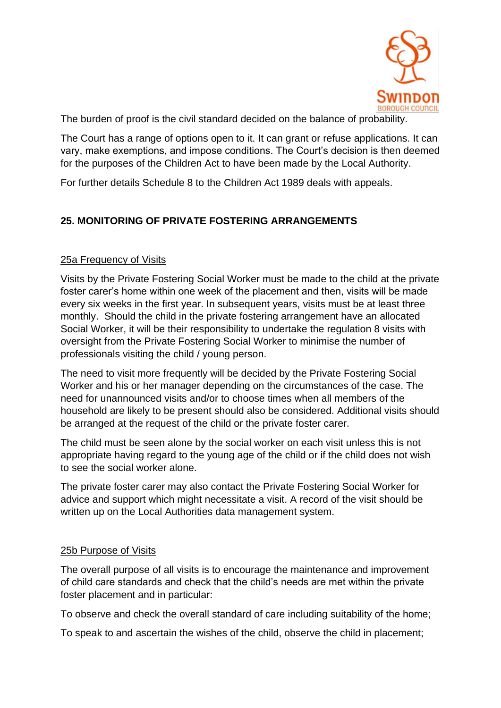

The burden of proof is the civil standard decided on the balance of probability.

The Court has a range of options open to it. It can grant or refuse applications. It can vary, make exemptions, and impose conditions. The Court's decision is then deemed for the purposes of the Children Act to have been made by the Local Authority.

For further details Schedule 8 to the Children Act 1989 deals with appeals.

# **25. MONITORING OF PRIVATE FOSTERING ARRANGEMENTS**

#### 25a Frequency of Visits

Visits by the Private Fostering Social Worker must be made to the child at the private foster carer's home within one week of the placement and then, visits will be made every six weeks in the first year. In subsequent years, visits must be at least three monthly. Should the child in the private fostering arrangement have an allocated Social Worker, it will be their responsibility to undertake the regulation 8 visits with oversight from the Private Fostering Social Worker to minimise the number of professionals visiting the child / young person.

The need to visit more frequently will be decided by the Private Fostering Social Worker and his or her manager depending on the circumstances of the case. The need for unannounced visits and/or to choose times when all members of the household are likely to be present should also be considered. Additional visits should be arranged at the request of the child or the private foster carer.

The child must be seen alone by the social worker on each visit unless this is not appropriate having regard to the young age of the child or if the child does not wish to see the social worker alone.

The private foster carer may also contact the Private Fostering Social Worker for advice and support which might necessitate a visit. A record of the visit should be written up on the Local Authorities data management system.

#### 25b Purpose of Visits

The overall purpose of all visits is to encourage the maintenance and improvement of child care standards and check that the child's needs are met within the private foster placement and in particular:

To observe and check the overall standard of care including suitability of the home;

To speak to and ascertain the wishes of the child, observe the child in placement;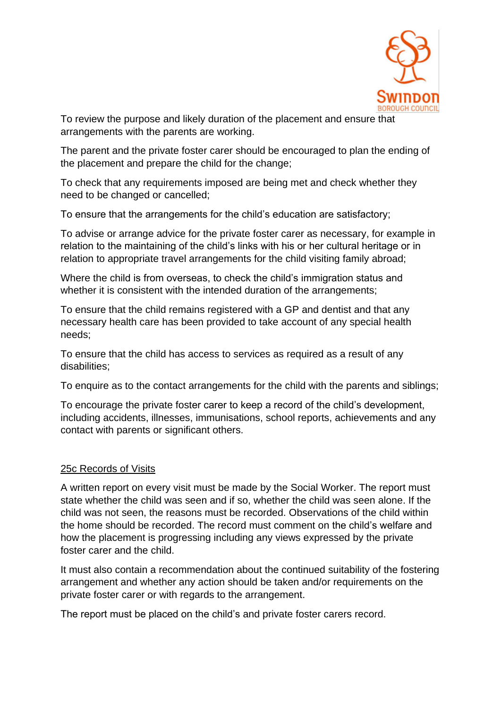

To review the purpose and likely duration of the placement and ensure that arrangements with the parents are working.

The parent and the private foster carer should be encouraged to plan the ending of the placement and prepare the child for the change;

To check that any requirements imposed are being met and check whether they need to be changed or cancelled;

To ensure that the arrangements for the child's education are satisfactory;

To advise or arrange advice for the private foster carer as necessary, for example in relation to the maintaining of the child's links with his or her cultural heritage or in relation to appropriate travel arrangements for the child visiting family abroad;

Where the child is from overseas, to check the child's immigration status and whether it is consistent with the intended duration of the arrangements;

To ensure that the child remains registered with a GP and dentist and that any necessary health care has been provided to take account of any special health needs;

To ensure that the child has access to services as required as a result of any disabilities;

To enquire as to the contact arrangements for the child with the parents and siblings;

To encourage the private foster carer to keep a record of the child's development, including accidents, illnesses, immunisations, school reports, achievements and any contact with parents or significant others.

#### 25c Records of Visits

A written report on every visit must be made by the Social Worker. The report must state whether the child was seen and if so, whether the child was seen alone. If the child was not seen, the reasons must be recorded. Observations of the child within the home should be recorded. The record must comment on the child's welfare and how the placement is progressing including any views expressed by the private foster carer and the child.

It must also contain a recommendation about the continued suitability of the fostering arrangement and whether any action should be taken and/or requirements on the private foster carer or with regards to the arrangement.

The report must be placed on the child's and private foster carers record.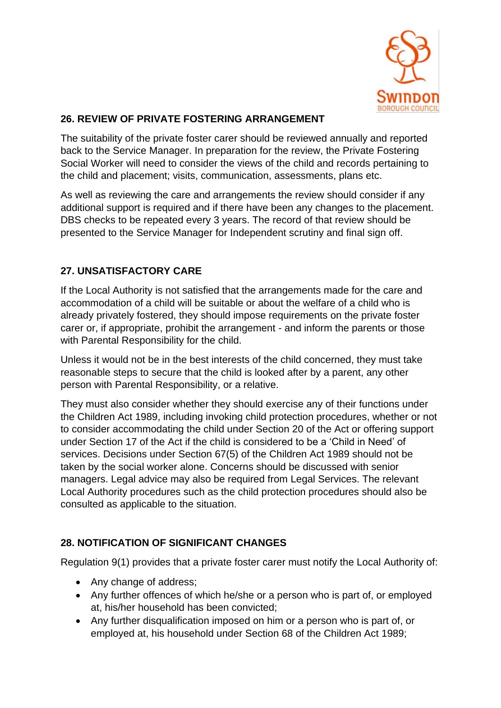

# **26. REVIEW OF PRIVATE FOSTERING ARRANGEMENT**

The suitability of the private foster carer should be reviewed annually and reported back to the Service Manager. In preparation for the review, the Private Fostering Social Worker will need to consider the views of the child and records pertaining to the child and placement; visits, communication, assessments, plans etc.

As well as reviewing the care and arrangements the review should consider if any additional support is required and if there have been any changes to the placement. DBS checks to be repeated every 3 years. The record of that review should be presented to the Service Manager for Independent scrutiny and final sign off.

#### **27. UNSATISFACTORY CARE**

If the Local Authority is not satisfied that the arrangements made for the care and accommodation of a child will be suitable or about the welfare of a child who is already privately fostered, they should impose requirements on the private foster carer or, if appropriate, prohibit the arrangement - and inform the parents or those with Parental Responsibility for the child.

Unless it would not be in the best interests of the child concerned, they must take reasonable steps to secure that the child is looked after by a parent, any other person with Parental Responsibility, or a relative.

They must also consider whether they should exercise any of their functions under the Children Act 1989, including invoking child protection procedures, whether or not to consider accommodating the child under Section 20 of the Act or offering support under Section 17 of the Act if the child is considered to be a 'Child in Need' of services. Decisions under Section 67(5) of the Children Act 1989 should not be taken by the social worker alone. Concerns should be discussed with senior managers. Legal advice may also be required from Legal Services. The relevant Local Authority procedures such as the child protection procedures should also be consulted as applicable to the situation.

# **28. NOTIFICATION OF SIGNIFICANT CHANGES**

Regulation 9(1) provides that a private foster carer must notify the Local Authority of:

- Any change of address;
- Any further offences of which he/she or a person who is part of, or employed at, his/her household has been convicted;
- Any further disqualification imposed on him or a person who is part of, or employed at, his household under Section 68 of the Children Act 1989;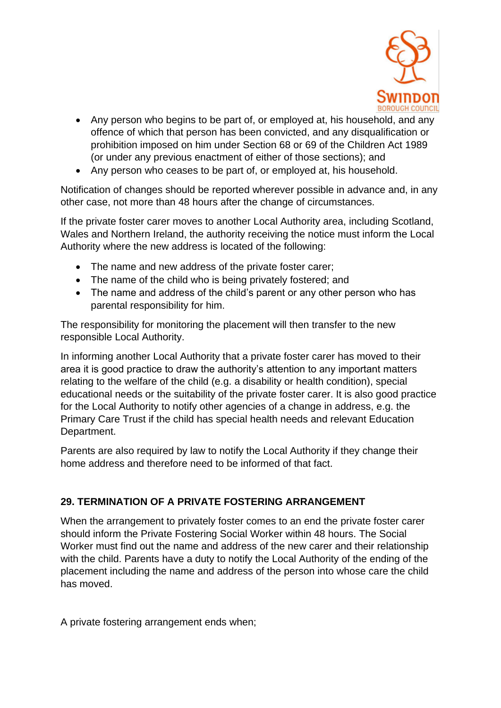

- Any person who begins to be part of, or employed at, his household, and any offence of which that person has been convicted, and any disqualification or prohibition imposed on him under Section 68 or 69 of the Children Act 1989 (or under any previous enactment of either of those sections); and
- Any person who ceases to be part of, or employed at, his household.

Notification of changes should be reported wherever possible in advance and, in any other case, not more than 48 hours after the change of circumstances.

If the private foster carer moves to another Local Authority area, including Scotland, Wales and Northern Ireland, the authority receiving the notice must inform the Local Authority where the new address is located of the following:

- The name and new address of the private foster carer;
- The name of the child who is being privately fostered; and
- The name and address of the child's parent or any other person who has parental responsibility for him.

The responsibility for monitoring the placement will then transfer to the new responsible Local Authority.

In informing another Local Authority that a private foster carer has moved to their area it is good practice to draw the authority's attention to any important matters relating to the welfare of the child (e.g. a disability or health condition), special educational needs or the suitability of the private foster carer. It is also good practice for the Local Authority to notify other agencies of a change in address, e.g. the Primary Care Trust if the child has special health needs and relevant Education Department.

Parents are also required by law to notify the Local Authority if they change their home address and therefore need to be informed of that fact.

# **29. TERMINATION OF A PRIVATE FOSTERING ARRANGEMENT**

When the arrangement to privately foster comes to an end the private foster carer should inform the Private Fostering Social Worker within 48 hours. The Social Worker must find out the name and address of the new carer and their relationship with the child. Parents have a duty to notify the Local Authority of the ending of the placement including the name and address of the person into whose care the child has moved.

A private fostering arrangement ends when;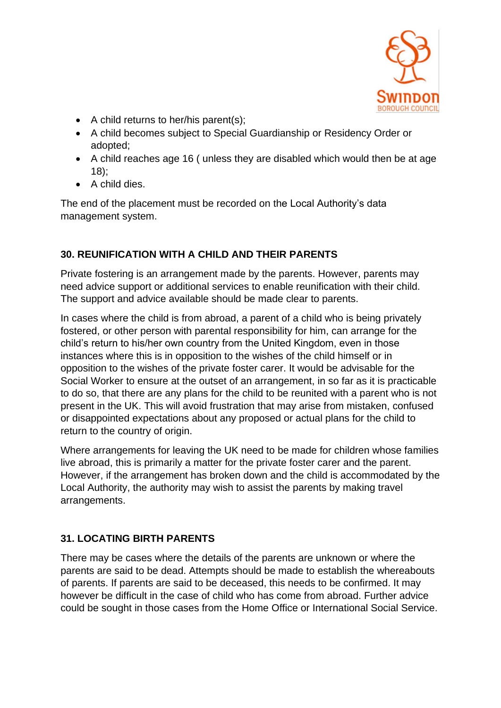

- A child returns to her/his parent(s);
- A child becomes subject to Special Guardianship or Residency Order or adopted;
- A child reaches age 16 ( unless they are disabled which would then be at age 18);
- A child dies.

The end of the placement must be recorded on the Local Authority's data management system.

# **30. REUNIFICATION WITH A CHILD AND THEIR PARENTS**

Private fostering is an arrangement made by the parents. However, parents may need advice support or additional services to enable reunification with their child. The support and advice available should be made clear to parents.

In cases where the child is from abroad, a parent of a child who is being privately fostered, or other person with parental responsibility for him, can arrange for the child's return to his/her own country from the United Kingdom, even in those instances where this is in opposition to the wishes of the child himself or in opposition to the wishes of the private foster carer. It would be advisable for the Social Worker to ensure at the outset of an arrangement, in so far as it is practicable to do so, that there are any plans for the child to be reunited with a parent who is not present in the UK. This will avoid frustration that may arise from mistaken, confused or disappointed expectations about any proposed or actual plans for the child to return to the country of origin.

Where arrangements for leaving the UK need to be made for children whose families live abroad, this is primarily a matter for the private foster carer and the parent. However, if the arrangement has broken down and the child is accommodated by the Local Authority, the authority may wish to assist the parents by making travel arrangements.

# **31. LOCATING BIRTH PARENTS**

There may be cases where the details of the parents are unknown or where the parents are said to be dead. Attempts should be made to establish the whereabouts of parents. If parents are said to be deceased, this needs to be confirmed. It may however be difficult in the case of child who has come from abroad. Further advice could be sought in those cases from the Home Office or International Social Service.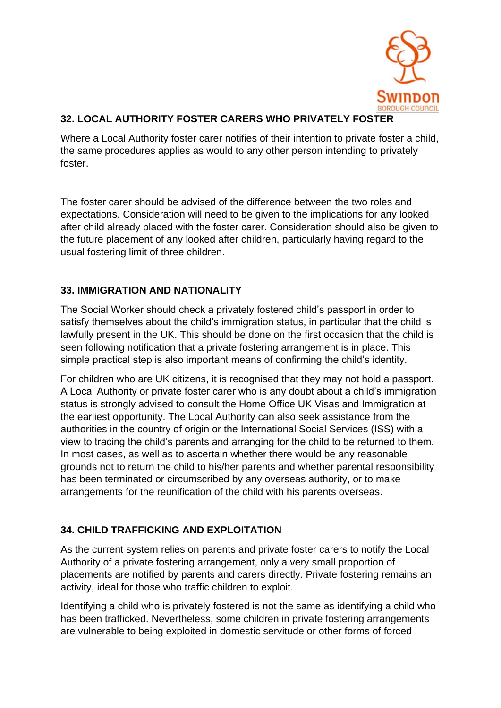

# **32. LOCAL AUTHORITY FOSTER CARERS WHO PRIVATELY FOSTER**

Where a Local Authority foster carer notifies of their intention to private foster a child, the same procedures applies as would to any other person intending to privately foster.

The foster carer should be advised of the difference between the two roles and expectations. Consideration will need to be given to the implications for any looked after child already placed with the foster carer. Consideration should also be given to the future placement of any looked after children, particularly having regard to the usual fostering limit of three children.

# **33. IMMIGRATION AND NATIONALITY**

The Social Worker should check a privately fostered child's passport in order to satisfy themselves about the child's immigration status, in particular that the child is lawfully present in the UK. This should be done on the first occasion that the child is seen following notification that a private fostering arrangement is in place. This simple practical step is also important means of confirming the child's identity.

For children who are UK citizens, it is recognised that they may not hold a passport. A Local Authority or private foster carer who is any doubt about a child's immigration status is strongly advised to consult the Home Office UK Visas and Immigration at the earliest opportunity. The Local Authority can also seek assistance from the authorities in the country of origin or the International Social Services (ISS) with a view to tracing the child's parents and arranging for the child to be returned to them. In most cases, as well as to ascertain whether there would be any reasonable grounds not to return the child to his/her parents and whether parental responsibility has been terminated or circumscribed by any overseas authority, or to make arrangements for the reunification of the child with his parents overseas.

# **34. CHILD TRAFFICKING AND EXPLOITATION**

As the current system relies on parents and private foster carers to notify the Local Authority of a private fostering arrangement, only a very small proportion of placements are notified by parents and carers directly. Private fostering remains an activity, ideal for those who traffic children to exploit.

Identifying a child who is privately fostered is not the same as identifying a child who has been trafficked. Nevertheless, some children in private fostering arrangements are vulnerable to being exploited in domestic servitude or other forms of forced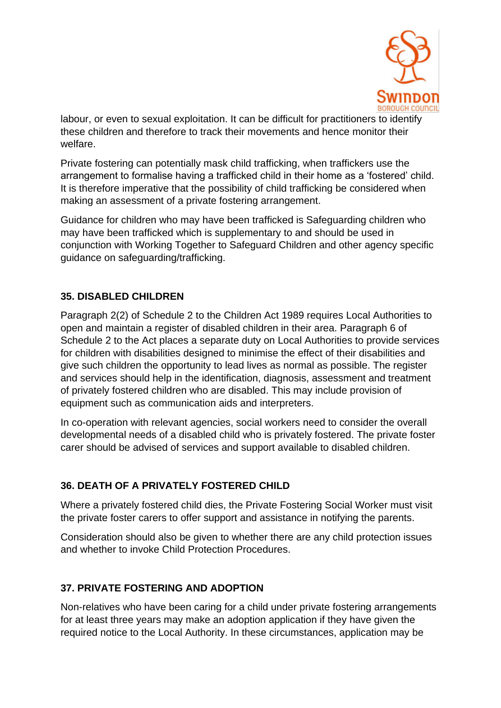

labour, or even to sexual exploitation. It can be difficult for practitioners to identify these children and therefore to track their movements and hence monitor their welfare.

Private fostering can potentially mask child trafficking, when traffickers use the arrangement to formalise having a trafficked child in their home as a 'fostered' child. It is therefore imperative that the possibility of child trafficking be considered when making an assessment of a private fostering arrangement.

Guidance for children who may have been trafficked is Safeguarding children who may have been trafficked which is supplementary to and should be used in conjunction with Working Together to Safeguard Children and other agency specific guidance on safeguarding/trafficking.

#### **35. DISABLED CHILDREN**

Paragraph 2(2) of Schedule 2 to the Children Act 1989 requires Local Authorities to open and maintain a register of disabled children in their area. Paragraph 6 of Schedule 2 to the Act places a separate duty on Local Authorities to provide services for children with disabilities designed to minimise the effect of their disabilities and give such children the opportunity to lead lives as normal as possible. The register and services should help in the identification, diagnosis, assessment and treatment of privately fostered children who are disabled. This may include provision of equipment such as communication aids and interpreters.

In co-operation with relevant agencies, social workers need to consider the overall developmental needs of a disabled child who is privately fostered. The private foster carer should be advised of services and support available to disabled children.

#### **36. DEATH OF A PRIVATELY FOSTERED CHILD**

Where a privately fostered child dies, the Private Fostering Social Worker must visit the private foster carers to offer support and assistance in notifying the parents.

Consideration should also be given to whether there are any child protection issues and whether to invoke Child Protection Procedures.

# **37. PRIVATE FOSTERING AND ADOPTION**

Non-relatives who have been caring for a child under private fostering arrangements for at least three years may make an adoption application if they have given the required notice to the Local Authority. In these circumstances, application may be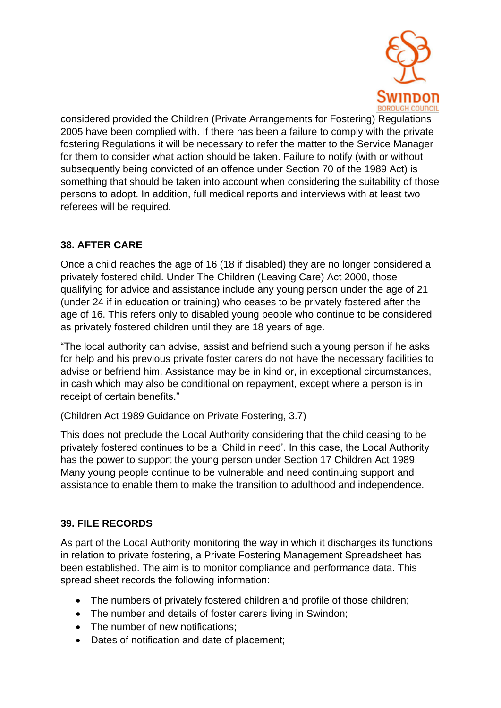

considered provided the Children (Private Arrangements for Fostering) Regulations 2005 have been complied with. If there has been a failure to comply with the private fostering Regulations it will be necessary to refer the matter to the Service Manager for them to consider what action should be taken. Failure to notify (with or without subsequently being convicted of an offence under Section 70 of the 1989 Act) is something that should be taken into account when considering the suitability of those persons to adopt. In addition, full medical reports and interviews with at least two referees will be required.

# **38. AFTER CARE**

Once a child reaches the age of 16 (18 if disabled) they are no longer considered a privately fostered child. Under The Children (Leaving Care) Act 2000, those qualifying for advice and assistance include any young person under the age of 21 (under 24 if in education or training) who ceases to be privately fostered after the age of 16. This refers only to disabled young people who continue to be considered as privately fostered children until they are 18 years of age.

"The local authority can advise, assist and befriend such a young person if he asks for help and his previous private foster carers do not have the necessary facilities to advise or befriend him. Assistance may be in kind or, in exceptional circumstances, in cash which may also be conditional on repayment, except where a person is in receipt of certain benefits."

(Children Act 1989 Guidance on Private Fostering, 3.7)

This does not preclude the Local Authority considering that the child ceasing to be privately fostered continues to be a 'Child in need'. In this case, the Local Authority has the power to support the young person under Section 17 Children Act 1989. Many young people continue to be vulnerable and need continuing support and assistance to enable them to make the transition to adulthood and independence.

#### **39. FILE RECORDS**

As part of the Local Authority monitoring the way in which it discharges its functions in relation to private fostering, a Private Fostering Management Spreadsheet has been established. The aim is to monitor compliance and performance data. This spread sheet records the following information:

- The numbers of privately fostered children and profile of those children;
- The number and details of foster carers living in Swindon;
- The number of new notifications;
- Dates of notification and date of placement;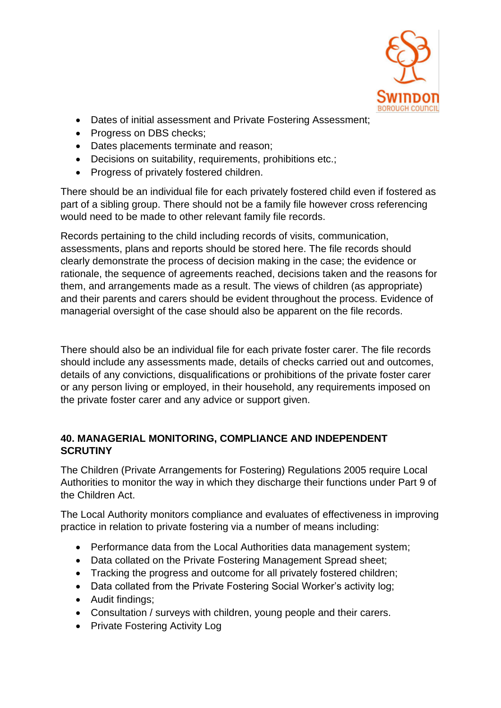

- Dates of initial assessment and Private Fostering Assessment;
- Progress on DBS checks;
- Dates placements terminate and reason;
- Decisions on suitability, requirements, prohibitions etc.;
- Progress of privately fostered children.

There should be an individual file for each privately fostered child even if fostered as part of a sibling group. There should not be a family file however cross referencing would need to be made to other relevant family file records.

Records pertaining to the child including records of visits, communication, assessments, plans and reports should be stored here. The file records should clearly demonstrate the process of decision making in the case; the evidence or rationale, the sequence of agreements reached, decisions taken and the reasons for them, and arrangements made as a result. The views of children (as appropriate) and their parents and carers should be evident throughout the process. Evidence of managerial oversight of the case should also be apparent on the file records.

There should also be an individual file for each private foster carer. The file records should include any assessments made, details of checks carried out and outcomes, details of any convictions, disqualifications or prohibitions of the private foster carer or any person living or employed, in their household, any requirements imposed on the private foster carer and any advice or support given.

#### **40. MANAGERIAL MONITORING, COMPLIANCE AND INDEPENDENT SCRUTINY**

The Children (Private Arrangements for Fostering) Regulations 2005 require Local Authorities to monitor the way in which they discharge their functions under Part 9 of the Children Act.

The Local Authority monitors compliance and evaluates of effectiveness in improving practice in relation to private fostering via a number of means including:

- Performance data from the Local Authorities data management system;
- Data collated on the Private Fostering Management Spread sheet;
- Tracking the progress and outcome for all privately fostered children;
- Data collated from the Private Fostering Social Worker's activity log;
- Audit findings;
- Consultation / surveys with children, young people and their carers.
- Private Fostering Activity Log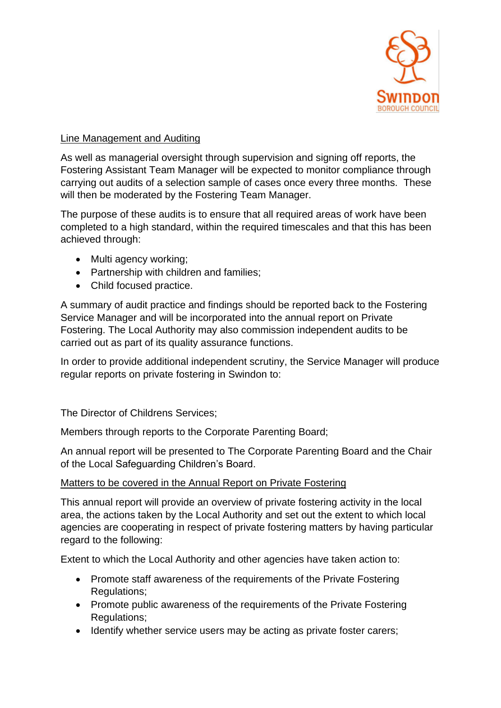

#### Line Management and Auditing

As well as managerial oversight through supervision and signing off reports, the Fostering Assistant Team Manager will be expected to monitor compliance through carrying out audits of a selection sample of cases once every three months. These will then be moderated by the Fostering Team Manager.

The purpose of these audits is to ensure that all required areas of work have been completed to a high standard, within the required timescales and that this has been achieved through:

- Multi agency working;
- Partnership with children and families;
- Child focused practice.

A summary of audit practice and findings should be reported back to the Fostering Service Manager and will be incorporated into the annual report on Private Fostering. The Local Authority may also commission independent audits to be carried out as part of its quality assurance functions.

In order to provide additional independent scrutiny, the Service Manager will produce regular reports on private fostering in Swindon to:

The Director of Childrens Services;

Members through reports to the Corporate Parenting Board;

An annual report will be presented to The Corporate Parenting Board and the Chair of the Local Safeguarding Children's Board.

#### Matters to be covered in the Annual Report on Private Fostering

This annual report will provide an overview of private fostering activity in the local area, the actions taken by the Local Authority and set out the extent to which local agencies are cooperating in respect of private fostering matters by having particular regard to the following:

Extent to which the Local Authority and other agencies have taken action to:

- Promote staff awareness of the requirements of the Private Fostering Regulations;
- Promote public awareness of the requirements of the Private Fostering Regulations;
- Identify whether service users may be acting as private foster carers;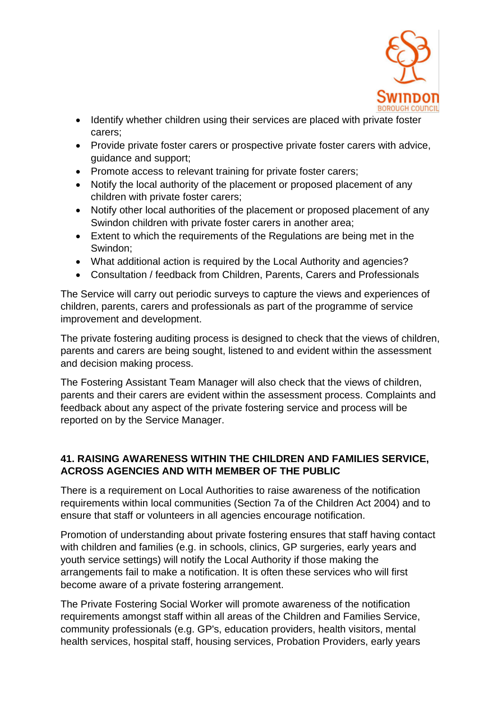

- Identify whether children using their services are placed with private foster carers;
- Provide private foster carers or prospective private foster carers with advice, guidance and support;
- Promote access to relevant training for private foster carers;
- Notify the local authority of the placement or proposed placement of any children with private foster carers;
- Notify other local authorities of the placement or proposed placement of any Swindon children with private foster carers in another area;
- Extent to which the requirements of the Regulations are being met in the Swindon;
- What additional action is required by the Local Authority and agencies?
- Consultation / feedback from Children, Parents, Carers and Professionals

The Service will carry out periodic surveys to capture the views and experiences of children, parents, carers and professionals as part of the programme of service improvement and development.

The private fostering auditing process is designed to check that the views of children, parents and carers are being sought, listened to and evident within the assessment and decision making process.

The Fostering Assistant Team Manager will also check that the views of children, parents and their carers are evident within the assessment process. Complaints and feedback about any aspect of the private fostering service and process will be reported on by the Service Manager.

#### **41. RAISING AWARENESS WITHIN THE CHILDREN AND FAMILIES SERVICE, ACROSS AGENCIES AND WITH MEMBER OF THE PUBLIC**

There is a requirement on Local Authorities to raise awareness of the notification requirements within local communities (Section 7a of the Children Act 2004) and to ensure that staff or volunteers in all agencies encourage notification.

Promotion of understanding about private fostering ensures that staff having contact with children and families (e.g. in schools, clinics, GP surgeries, early years and youth service settings) will notify the Local Authority if those making the arrangements fail to make a notification. It is often these services who will first become aware of a private fostering arrangement.

The Private Fostering Social Worker will promote awareness of the notification requirements amongst staff within all areas of the Children and Families Service, community professionals (e.g. GP's, education providers, health visitors, mental health services, hospital staff, housing services, Probation Providers, early years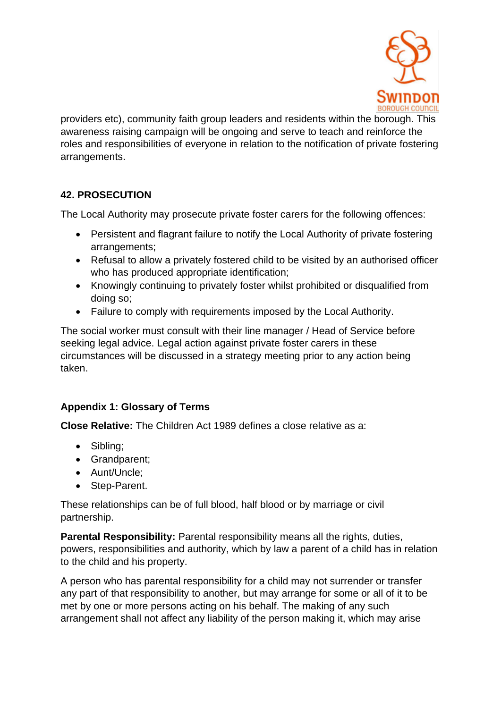

providers etc), community faith group leaders and residents within the borough. This awareness raising campaign will be ongoing and serve to teach and reinforce the roles and responsibilities of everyone in relation to the notification of private fostering arrangements.

# **42. PROSECUTION**

The Local Authority may prosecute private foster carers for the following offences:

- Persistent and flagrant failure to notify the Local Authority of private fostering arrangements;
- Refusal to allow a privately fostered child to be visited by an authorised officer who has produced appropriate identification;
- Knowingly continuing to privately foster whilst prohibited or disqualified from doing so;
- Failure to comply with requirements imposed by the Local Authority.

The social worker must consult with their line manager / Head of Service before seeking legal advice. Legal action against private foster carers in these circumstances will be discussed in a strategy meeting prior to any action being taken.

#### **Appendix 1: Glossary of Terms**

**Close Relative:** The Children Act 1989 defines a close relative as a:

- Sibling;
- Grandparent;
- Aunt/Uncle;
- Step-Parent.

These relationships can be of full blood, half blood or by marriage or civil partnership.

**Parental Responsibility:** Parental responsibility means all the rights, duties, powers, responsibilities and authority, which by law a parent of a child has in relation to the child and his property.

A person who has parental responsibility for a child may not surrender or transfer any part of that responsibility to another, but may arrange for some or all of it to be met by one or more persons acting on his behalf. The making of any such arrangement shall not affect any liability of the person making it, which may arise